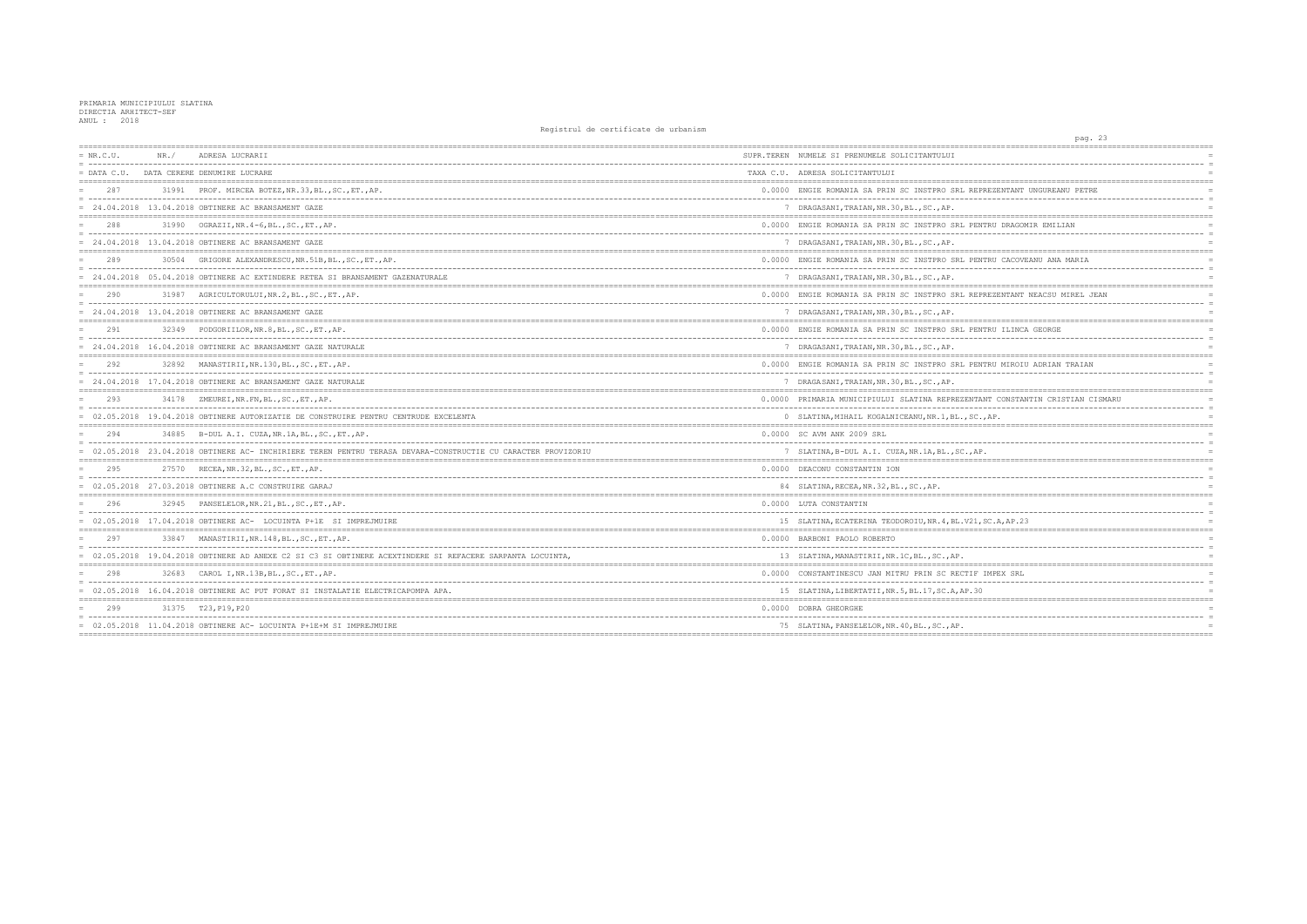| $= NR.C.U.$   | NR. / | ADRESA LUCRARII                                                                                             | SUPR.TEREN NUMELE SI PRENUMELE SOLICITANTULUI        |
|---------------|-------|-------------------------------------------------------------------------------------------------------------|------------------------------------------------------|
| $=$ DATA C.U. |       | DATA CERERE DENUMIRE LUCRARE                                                                                | TAXA C.U. ADRESA SOLICITANTULUI                      |
| 287           |       | 31991 PROF. MIRCEA BOTEZ, NR.33, BL., SC., ET., AP.                                                         | 0.0000 ENGIE ROMANIA SA PRIN SC INSTPRO SRL REPRE    |
|               |       | = 24.04.2018 13.04.2018 OBTINERE AC BRANSAMENT GAZE                                                         | 7 DRAGASANI, TRAIAN, NR. 30, BL., SC., AP.           |
| 288           | 31990 | OGRAZII, NR. 4-6, BL., SC., ET., AP.                                                                        | 0.0000 ENGIE ROMANIA SA PRIN SC INSTPRO SRL PENTF    |
|               |       | $= 24.04.2018$ 13.04.2018 OBTINERE AC BRANSAMENT GAZE                                                       | 7 DRAGASANI, TRAIAN, NR. 30, BL., SC., AP.           |
| 289           |       | 30504 GRIGORE ALEXANDRESCU, NR.51B, BL., SC., ET., AP.                                                      | 0.0000 ENGIE ROMANIA SA PRIN SC INSTPRO SRL PENTF    |
|               |       | 24.04.2018 05.04.2018 OBTINERE AC EXTINDERE RETEA SI BRANSAMENT GAZENATURALE                                | 7 DRAGASANI, TRAIAN, NR. 30, BL., SC., AP.           |
| 290           |       | 31987 AGRICULTORULUI, NR. 2, BL., SC., ET., AP.                                                             | 0.0000 ENGIE ROMANIA SA PRIN SC INSTPRO SRL REPRE    |
|               |       | 24.04.2018 13.04.2018 OBTINERE AC BRANSAMENT GAZE                                                           | 7 DRAGASANI, TRAIAN, NR. 30, BL., SC., AP.           |
| 291           |       | 32349 PODGORIILOR, NR. 8, BL., SC., ET., AP.                                                                | 0.0000 ENGIE ROMANIA SA PRIN SC INSTPRO SRL PENTE    |
|               |       | 24.04.2018 16.04.2018 OBTINERE AC BRANSAMENT GAZE NATURALE                                                  | 7 DRAGASANI, TRAIAN, NR. 30, BL., SC., AP.           |
| 292           |       | 32892 MANASTIRII, NR. 130, BL., SC., ET., AP.                                                               | 0.0000 ENGIE ROMANIA SA PRIN SC INSTPRO SRL PENTF    |
|               |       | $= 24.04.2018$ 17.04.2018 OBTINERE AC BRANSAMENT GAZE NATURALE                                              | 7 DRAGASANI, TRAIAN, NR. 30, BL., SC., AP.           |
| 293           | 34178 | ZMEUREI, NR.FN, BL., SC., ET., AP.                                                                          | 0.0000 PRIMARIA MUNICIPIULUI SLATINA REPREZENTANI    |
|               |       | = 02.05.2018 19.04.2018 OBTINERE AUTORIZATIE DE CONSTRUIRE PENTRU CENTRUDE EXCELENTA                        | 0 SLATINA, MIHAIL KOGALNICEANU, NR. 1, BL., SC., A   |
| 294           |       | 34885 B-DUL A.I. CUZA, NR.1A, BL., SC., ET., AP.                                                            | 0.0000 SC AVM ANK 2009 SRL                           |
|               |       | 02.05.2018 23.04.2018 OBTINERE AC- INCHIRIERE TEREN PENTRU TERASA DEVARA-CONSTRUCTIE CU CARACTER PROVIZORIU | 7 SLATINA, B-DUL A.I. CUZA, NR.1A, BL., SC., AP.     |
| 295           |       | 27570 RECEA, NR. 32, BL., SC., ET., AP.                                                                     | 0.0000 DEACONU CONSTANTIN ION                        |
|               |       | $= 02.05.2018$ 27.03.2018 OBTINERE A.C CONSTRUIRE GARAJ                                                     | 84 SLATINA, RECEA, NR. 32, BL., SC., AP.             |
| 296           | 32945 | PANSELELOR, NR. 21, BL., SC., ET., AP.                                                                      | 0.0000 LUTA CONSTANTIN                               |
|               |       | = 02.05.2018 17.04.2018 OBTINERE AC- LOCUINTA P+1E SI IMPREJMUIRE                                           | 15 SLATINA, ECATERINA TEODOROIU, NR. 4, BL. V21, SO  |
| 297           |       | 33847 MANASTIRII, NR. 148, BL., SC., ET., AP.                                                               | 0.0000 BARBONI PAOLO ROBERTO                         |
|               |       | 02.05.2018 19.04.2018 OBTINERE AD ANEXE C2 SI C3 SI OBTINERE ACEXTINDERE SI REFACERE SARPANTA LOCUINTA,     | 13 SLATINA, MANASTIRII, NR. 1C. BL., SC., AP.        |
| 298           |       | 32683 CAROL I, NR.13B, BL., SC., ET., AP.                                                                   | 0.0000 CONSTANTINESCU JAN MITRU PRIN SC RECTIF IN    |
|               |       | = 02.05.2018 16.04.2018 OBTINERE AC PUT FORAT SI INSTALATIE ELECTRICAPOMPA APA.                             | 15 SLATINA, LIBERTATII, NR. 5, BL. 17, SC. A, AP. 30 |
| 299           |       | 31375 T23, P19, P20                                                                                         | 0.0000 DOBRA GHEORGHE                                |
|               |       | $= 02.05.2018$ 11.04.2018 OBTINERE AC-LOCUINTA P+1E+M SI IMPREJMUIRE                                        | 75 SLATINA, PANSELELOR, NR. 40, BL., SC., AP.        |
|               |       |                                                                                                             |                                                      |

| pag. 23<br>==========              |
|------------------------------------|
|                                    |
|                                    |
|                                    |
| ======<br>EZENTANT UNGUREANU PETRE |
|                                    |
|                                    |
|                                    |
| RU DRAGOMIR EMILIAN                |
|                                    |
|                                    |
| RU CACOVEANU ANA MARIA             |
|                                    |
|                                    |
| EZENTANT NEACSU MIREL JEAN         |
|                                    |
|                                    |
| RU ILINCA GEORGE                   |
|                                    |
|                                    |
| RU MIROIU ADRIAN TRAIAN            |
|                                    |
|                                    |
|                                    |
| T CONSTANTIN CRISTIAN CISMARU      |
| AP.                                |
|                                    |
|                                    |
|                                    |
|                                    |
|                                    |
|                                    |
|                                    |
|                                    |
|                                    |
| C.A, AP.23                         |
|                                    |
| ---------                          |
|                                    |
|                                    |
| MPEX SRL                           |
|                                    |
|                                    |
|                                    |
|                                    |
|                                    |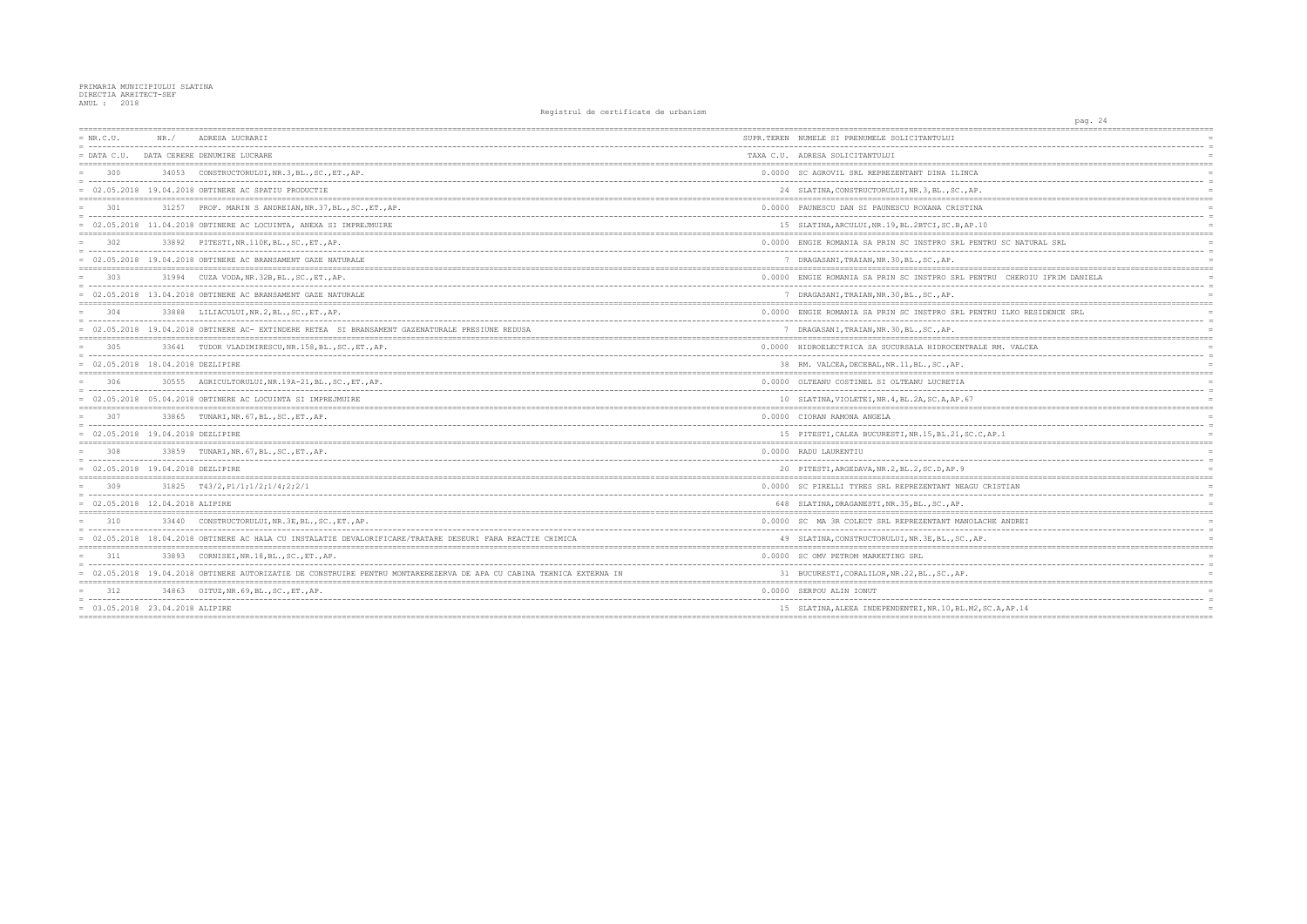| $= NR.C.U.$                                 | NR. / | ADRESA LUCRARII                                                                                                      | SUPR.TEREN NUMELE SI PRENUMELE SOLICITANTULUI       |
|---------------------------------------------|-------|----------------------------------------------------------------------------------------------------------------------|-----------------------------------------------------|
|                                             |       | = DATA C.U. DATA CERERE DENUMIRE LUCRARE                                                                             | TAXA C.U. ADRESA SOLICITANTULUI                     |
| 300                                         |       | 34053 CONSTRUCTORULUI, NR. 3, BL., SC., ET., AP.                                                                     | 0.0000 SC AGROVIL SRL REPREZENTANT DINA ILINCA      |
|                                             |       | $= 02.05.2018$ 19.04.2018 OBTINERE AC SPATIU PRODUCTIE                                                               | 24 SLATINA, CONSTRUCTORULUI, NR.3, BL., SC., AP.    |
| 301                                         |       | 31257 PROF. MARIN S ANDREIAN, NR.37, BL., SC., ET., AP.                                                              | 0.0000 PAUNESCU DAN SI PAUNESCU ROXANA CRISTINA     |
|                                             |       | = 02.05.2018 11.04.2018 OBTINERE AC LOCUINTA, ANEXA SI IMPREJMUIRE                                                   | 15 SLATINA, ARCULUI, NR.19, BL.2BTCI, SC.B, AP.10   |
| 302                                         |       | 33892 PITESTI, NR. 110K, BL., SC., ET., AP.                                                                          | 0.0000 ENGIE ROMANIA SA PRIN SC INSTPRO SRL PENTR   |
|                                             |       | = 02.05.2018 19.04.2018 OBTINERE AC BRANSAMENT GAZE NATURALE                                                         | 7 DRAGASANI, TRAIAN, NR. 30, BL., SC., AP.          |
| 303                                         |       | 31994 CUZA VODA, NR. 32B, BL., SC., ET., AP.                                                                         | 0.0000 ENGIE ROMANIA SA PRIN SC INSTPRO SRL PENTR   |
|                                             |       | = 02.05.2018 13.04.2018 OBTINERE AC BRANSAMENT GAZE NATURALE                                                         | 7 DRAGASANI, TRAIAN, NR. 30, BL., SC., AP.          |
| 304                                         |       | 33888 LILIACULUI, NR.2, BL., SC., ET., AP.                                                                           | 0.0000 ENGIE ROMANIA SA PRIN SC INSTPRO SRL PENTR   |
|                                             |       | = 02.05.2018 19.04.2018 OBTINERE AC- EXTINDERE RETEA SI BRANSAMENT GAZENATURALE PRESIUNE REDUSA                      | 7 DRAGASANI, TRAIAN, NR. 30, BL., SC., AP.          |
| 305                                         |       | 33641 TUDOR VLADIMIRESCU, NR. 158, BL., SC., ET., AP.                                                                | 0.0000 HIDROELECTRICA SA SUCURSALA HIDROCENTRALE    |
| $= 02.05.2018 18.04.2018 $ DEZLIPIRE        |       |                                                                                                                      | 38 RM. VALCEA, DECEBAL, NR. 11, BL., SC., AP.       |
| 306                                         | 30555 | AGRICULTORULUI, NR. 19A-21, BL., SC., ET., AP.                                                                       | 0.0000 OLTEANU COSTINEL SI OLTEANU LUCRETIA         |
|                                             |       | = 02.05.2018 05.04.2018 OBTINERE AC LOCUINTA SI IMPREJMUIRE                                                          | 10 SLATINA, VIOLETEI, NR. 4, BL. 2A, SC. A, AP. 67  |
| 307                                         |       | 33865 TUNARI, NR. 67, BL., SC., ET., AP.                                                                             | 0.0000 CIORAN RAMONA ANGELA                         |
| $= 02.05.2018 19.04.2018 \text{ DEZLIPIRE}$ |       |                                                                                                                      | 15 PITESTI, CALEA BUCURESTI, NR.15, BL.21, SC.C.A   |
| 308                                         |       | 33859 TUNARI, NR. 67, BL., SC., ET., AP.                                                                             | 0.0000 RADU LAURENTIU                               |
| $= 02.05.2018 19.04.2018 \text{ DEZLIPIRE}$ |       |                                                                                                                      | 20 PITESTI, ARGEDAVA, NR. 2, BL. 2, SC. D, AP. 9    |
| 309                                         |       | $31825$ T43/2, P1/1; 1/2; 1/4; 2; 2/1                                                                                | 0.0000 SC PIRELLI TYRES SRL REPREZENTANT NEAGU CF   |
| $= 02.05.2018 12.04.2018 ALIPIRE$           |       |                                                                                                                      | 648 SLATINA, DRAGANESTI, NR. 35, BL., SC., AP.      |
| 310                                         |       | 33440 CONSTRUCTORULUI, NR.3E, BL., SC., ET., AP.                                                                     | 0.0000 SC MA 3R COLECT SRL REPREZENTANT MANOLACH    |
|                                             |       | = 02.05.2018 18.04.2018 OBTINERE AC HALA CU INSTALATIE DEVALORIFICARE/TRATARE DESEURI FARA REACTIE CHIMICA           | 49 SLATINA, CONSTRUCTORULUI, NR. 3E, BL., SC., AP.  |
| 311                                         | 33893 | CORNISEI, NR.18, BL., SC., ET., AP.                                                                                  | 0.0000 SC OMV PETROM MARKETING SRL                  |
|                                             |       | = 02.05.2018 19.04.2018 OBTINERE AUTORIZATIE DE CONSTRUIRE PENTRU MONTAREREZERVA DE APA CU CABINA TEHNICA EXTERNA IN | 31 BUCURESTI, CORALILOR, NR. 22, BL., SC., AP.      |
| 312                                         |       | 34863 OITUZ, NR. 69, BL., SC., ET., AP.                                                                              | 0.0000 SERPOU ALIN IONUT                            |
| = 03.05.2018 23.04.2018 ALIPIRE             |       |                                                                                                                      | 15 SLATINA, ALEEA INDEPENDENTEI, NR. 10, BL. M2, SC |
|                                             |       |                                                                                                                      |                                                     |

| pag. 24                                               |
|-------------------------------------------------------|
|                                                       |
| $=$<br>--------<br><br>$=$                            |
| $=$                                                   |
|                                                       |
| $=$                                                   |
| $=$                                                   |
| $=$                                                   |
| Ţ<br>$=$                                              |
| ------<br>$--- =$                                     |
| $\overline{0}$<br>$=$                                 |
| $= - -$                                               |
| VTRU SC NATURAL SRL<br>$=$<br>$\equiv$                |
| $=$                                                   |
|                                                       |
| VTRU CHEROIU IFRIM DANIELA<br>$=$                     |
| . <u>.</u> .<br><br>$\equiv$                          |
| $=$                                                   |
| NTRU ILKO RESIDENCE SRL<br>$=$                        |
| $\equiv$                                              |
| $=$                                                   |
|                                                       |
| LE RM. VALCEA<br>$=$<br>-----------------<br>$\equiv$ |
|                                                       |
|                                                       |
| $=$                                                   |
| $=$                                                   |
| $=$                                                   |
| $=$                                                   |
| $=$                                                   |
| C, AP.1<br>$=$                                        |
|                                                       |
| $=$<br>$\equiv$                                       |
| $=$                                                   |
|                                                       |
| CRISTIAN<br>$=$                                       |
| $\equiv$                                              |
| $\equiv$                                              |
| <b>ACHE ANDREI</b><br>$=$                             |
| $\equiv$<br>Ξ,                                        |
| ?.<br>$=$                                             |
|                                                       |
| $=$<br>------ =                                       |
| $=$                                                   |
|                                                       |
| $=$                                                   |
| $=$                                                   |
| SC.A, AP.14<br>$=$                                    |
| ============<br>=======                               |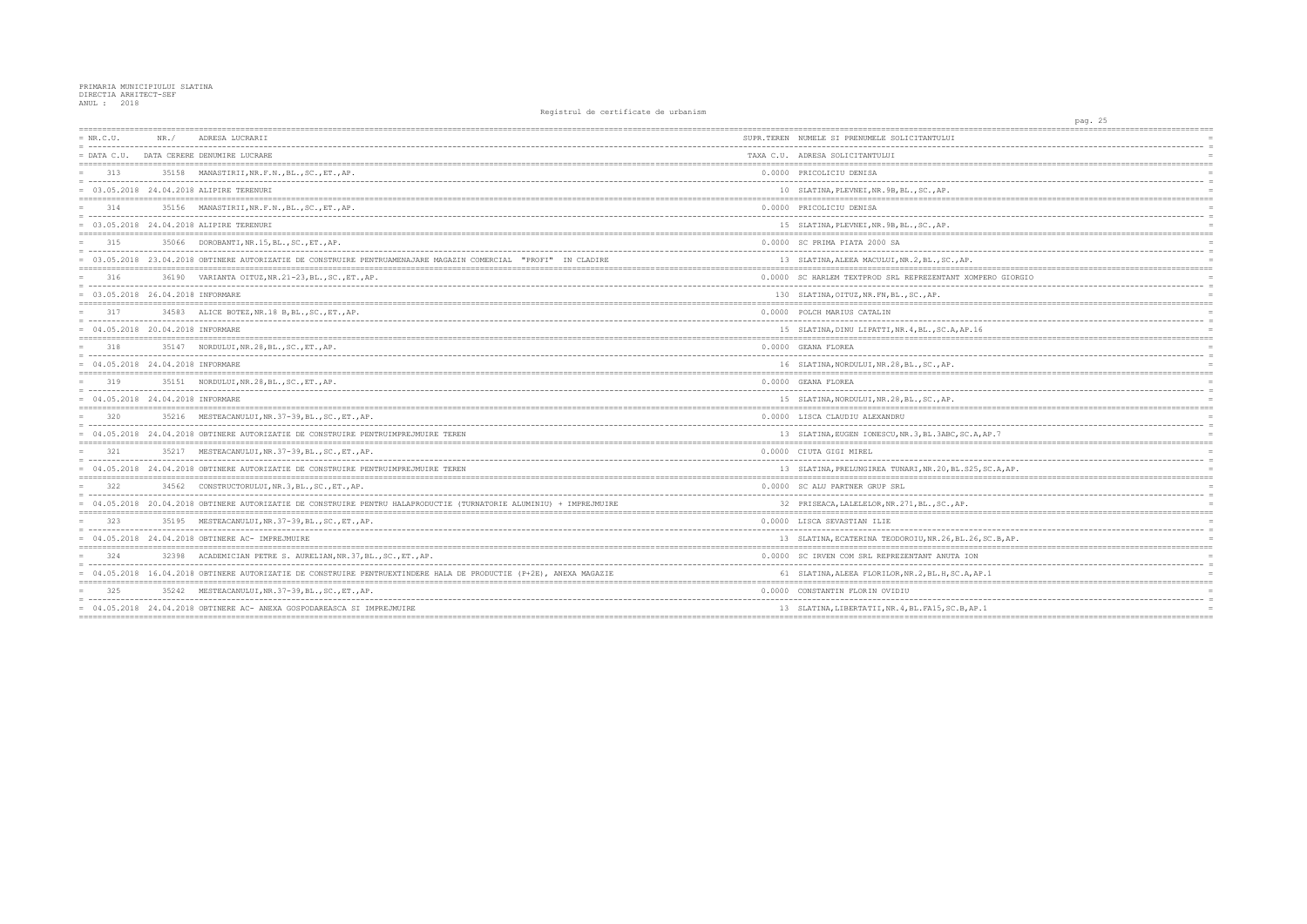| $= NR.C.U.$                         | NR. / | ADRESA LUCRARII                                                                                                     | SUPR.TEREN NUMELE SI PRENUMELE SOLICITANTULUI          |
|-------------------------------------|-------|---------------------------------------------------------------------------------------------------------------------|--------------------------------------------------------|
| $=$ DATA C.U.                       |       | DATA CERERE DENUMIRE LUCRARE                                                                                        | TAXA C.U. ADRESA SOLICITANTULUI                        |
| 313                                 |       | 35158 MANASTIRII, NR.F.N., BL., SC., ET., AP.                                                                       | 0.0000 PRICOLICIU DENISA                               |
|                                     |       | = 03.05.2018 24.04.2018 ALIPIRE TERENURI                                                                            | 10 SLATINA, PLEVNEI, NR. 9B, BL., SC., AP.             |
| 314                                 |       | 35156 MANASTIRII, NR.F.N., BL., SC., ET., AP.                                                                       | 0.0000 PRICOLICIU DENISA                               |
|                                     |       | = 03.05.2018 24.04.2018 ALIPIRE TERENURI                                                                            | 15 SLATINA, PLEVNEI, NR. 9B, BL., SC., AP.             |
| 315                                 |       | 35066 DOROBANTI, NR.15, BL., SC., ET., AP.                                                                          | 0.0000 SC PRIMA PIATA 2000 SA                          |
|                                     |       | = 03.05.2018 23.04.2018 OBTINERE AUTORIZATIE DE CONSTRUIRE PENTRUAMENAJARE MAGAZIN COMERCIAL "PROFI" IN CLADIRE     | 13 SLATINA, ALEEA MACULUI, NR.2, BL., SC., AP.         |
| 316                                 |       | 36190 VARIANTA OITUZ, NR. 21-23, BL., SC., ET., AP.                                                                 | 0.0000 SC HARLEM TEXTPROD SRL REPREZENTANT XOMPER      |
| $= 03.05.2018 26.04.2018$ INFORMARE |       |                                                                                                                     | 130 SLATINA, OITUZ, NR. FN, BL., SC., AP.              |
| 317                                 |       | 34583 ALICE BOTEZ, NR.18 B, BL., SC., ET., AP.                                                                      | 0.0000 POLCH MARIUS CATALIN                            |
| $= 04.05.2018 20.04.2018$ INFORMARE |       |                                                                                                                     | 15 SLATINA, DINU LIPATTI, NR. 4, BL., SC. A, AP. 16    |
| 318                                 |       | 35147 NORDULUI, NR. 28, BL., SC., ET., AP.                                                                          | 0.0000 GEANA FLOREA                                    |
| $= 04.05.2018 24.04.2018$ INFORMARE |       |                                                                                                                     | 16 SLATINA, NORDULUI, NR.28, BL., SC., AP.             |
| 319                                 |       | 35151 NORDULUI, NR. 28, BL., SC., ET., AP.                                                                          | 0.0000 GEANA FLOREA                                    |
| $= 04.05.2018 24.04.2018$ INFORMARE |       |                                                                                                                     | 15 SLATINA, NORDULUI, NR. 28, BL., SC., AP.            |
| 320                                 |       | 35216 MESTEACANULUI, NR.37-39, BL., SC., ET., AP.                                                                   | 0.0000 LISCA CLAUDIU ALEXANDRU                         |
|                                     |       | = 04.05.2018 24.04.2018 OBTINERE AUTORIZATIE DE CONSTRUIRE PENTRUIMPREJMUIRE TEREN                                  | 13 SLATINA, EUGEN IONESCU, NR. 3, BL. 3ABC, SC. A, AP  |
| 321                                 |       | 35217 MESTEACANULUI, NR.37-39, BL., SC., ET., AP.                                                                   | 0.0000 CIUTA GIGI MIREL                                |
|                                     |       | = 04.05.2018 24.04.2018 OBTINERE AUTORIZATIE DE CONSTRUIRE PENTRUIMPREJMUIRE TEREN                                  | 13 SLATINA, PRELUNGIREA TUNARI, NR. 20, BL. S25, SC    |
| 322                                 |       | 34562 CONSTRUCTORULUI, NR.3, BL., SC., ET., AP.                                                                     | 0.0000 SC ALU PARTNER GRUP SRL                         |
|                                     |       | = 04.05.2018 20.04.2018 OBTINERE AUTORIZATIE DE CONSTRUIRE PENTRU HALAPRODUCTIE (TURNATORIE ALUMINIU) + IMPREJMUIRE | 32 PRISEACA, LALELELOR, NR. 271, BL., SC., AP.         |
| 323                                 |       | 35195 MESTEACANULUI, NR. 37-39, BL., SC., ET., AP.                                                                  | 0.0000 LISCA SEVASTIAN ILIE                            |
|                                     |       | $= 04.05.2018$ 24.04.2018 OBTINERE AC- IMPREJMUIRE                                                                  | 13 SLATINA, ECATERINA TEODOROIU, NR. 26, BL. 26, SC    |
| 324                                 |       | 32398 ACADEMICIAN PETRE S. AURELIAN, NR. 37, BL., SC., ET., AP.                                                     | 0.0000 SC IRVEN COM SRL REPREZENTANT ANUTA ION         |
|                                     |       | = 04.05.2018 16.04.2018 OBTINERE AUTORIZATIE DE CONSTRUIRE PENTRUEXTINDERE HALA DE PRODUCTIE (P+2E), ANEXA MAGAZIE  | 61 SLATINA, ALEEA FLORILOR, NR. 2, BL. H, SC. A, AP. 1 |
| 325                                 |       | 35242 MESTEACANULUI, NR.37-39, BL., SC., ET., AP.                                                                   | 0.0000 CONSTANTIN FLORIN OVIDIU                        |
|                                     |       | = 04.05.2018 24.04.2018 OBTINERE AC- ANEXA GOSPODAREASCA SI IMPREJMUIRE                                             | 13 SLATINA, LIBERTATII, NR. 4, BL. FA15, SC. B, AP. 1  |
|                                     |       |                                                                                                                     |                                                        |

|                                    | pag. | 25                     |  |
|------------------------------------|------|------------------------|--|
| ======                             |      |                        |  |
|                                    | .    |                        |  |
|                                    |      | $=$<br>$=$             |  |
|                                    |      |                        |  |
|                                    |      | $=$                    |  |
|                                    |      | $=$                    |  |
|                                    |      | $=$                    |  |
|                                    |      |                        |  |
|                                    |      | $=$                    |  |
|                                    |      | $=$                    |  |
|                                    |      | $=$                    |  |
| ======                             |      | :==============        |  |
|                                    |      | $=$                    |  |
|                                    |      | $=$                    |  |
| --------------                     |      | $=$<br>$=$ $=$ $=$ $=$ |  |
| PERO GIORGIO                       |      | $=$                    |  |
|                                    |      | $\equiv$               |  |
|                                    |      | $=$                    |  |
|                                    |      | ============           |  |
|                                    |      | $=$                    |  |
| --------                           |      | $=$                    |  |
| 6                                  |      | $\equiv$               |  |
| =========                          |      |                        |  |
|                                    |      | $=$                    |  |
|                                    |      | $=$                    |  |
|                                    |      | $=$                    |  |
|                                    |      |                        |  |
|                                    |      | $=$                    |  |
|                                    |      | $\equiv$<br>$=$        |  |
| ======<br>:======================= |      | ================       |  |
|                                    |      | $=$                    |  |
|                                    |      | $\equiv$               |  |
| AP.7                               |      | $=$                    |  |
| ------                             |      | $= - -$                |  |
|                                    |      | $=$                    |  |
|                                    |      | $=$                    |  |
| , SC.A, AP.                        |      | $=$                    |  |
|                                    |      |                        |  |
|                                    |      | $=$                    |  |
|                                    |      | $=$                    |  |
|                                    |      | $=$                    |  |
|                                    |      | $=$                    |  |
|                                    |      | $=$                    |  |
| , $SC.B, AP.$                      |      | $=$                    |  |
|                                    |      |                        |  |
|                                    |      | $=$                    |  |
|                                    |      | $=$                    |  |
| P.1                                |      | $=$                    |  |
| =============                      |      | :===========           |  |
|                                    |      | $=$                    |  |
|                                    |      | $=$                    |  |
| $\cdot$ 1                          |      | $=$                    |  |
|                                    |      |                        |  |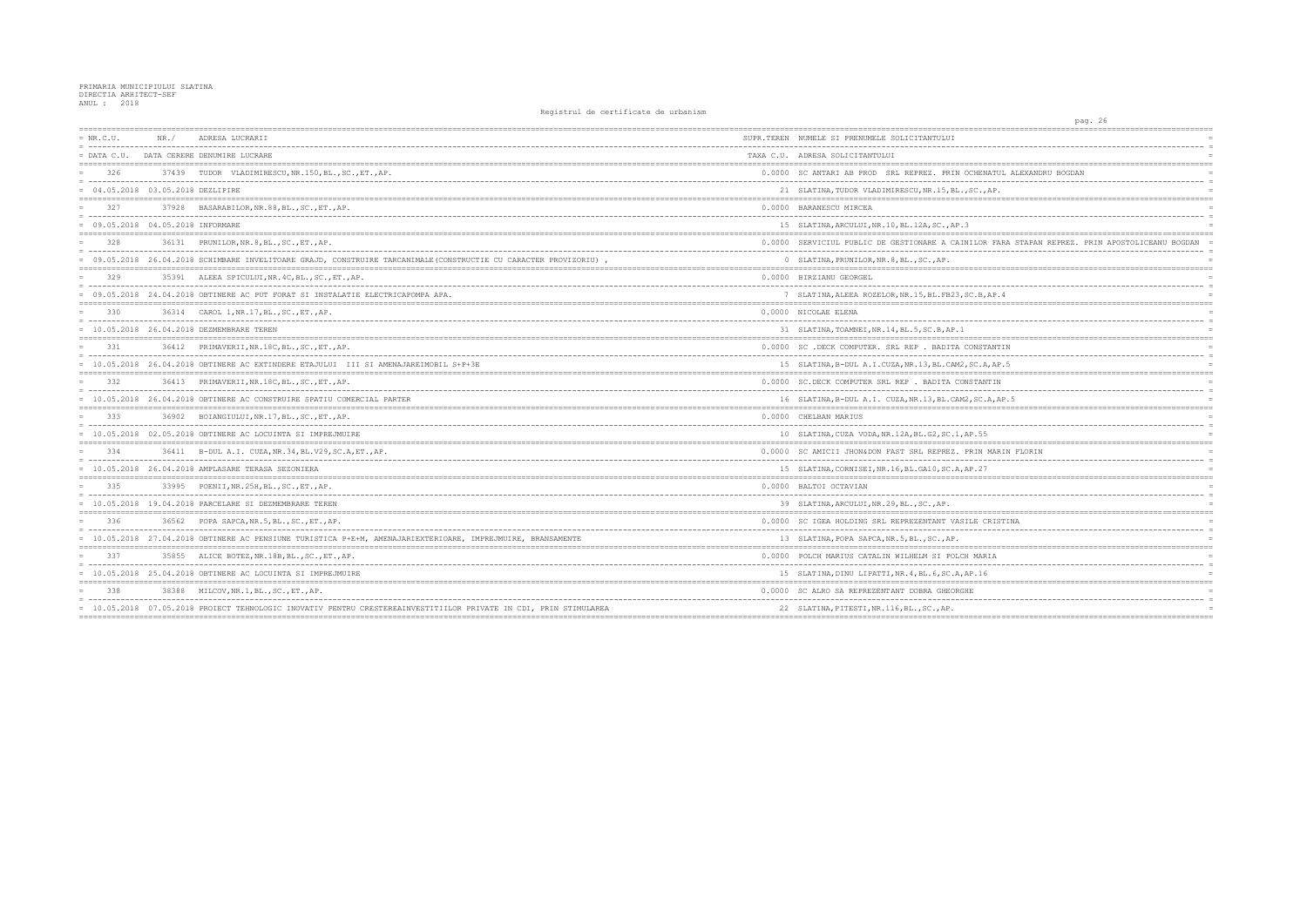| $= NR.C.U.$                          | NR. / | ADRESA LUCRARII                                                                                                   | SUPR.TEREN NUMELE SI PRENUMELE SOLICITANTULUI         |
|--------------------------------------|-------|-------------------------------------------------------------------------------------------------------------------|-------------------------------------------------------|
| $=$ DATA C.U.                        |       | DATA CERERE DENUMIRE LUCRARE                                                                                      | TAXA C.U. ADRESA SOLICITANTULUI                       |
| 326                                  |       | 37439 TUDOR VLADIMIRESCU, NR.150, BL., SC., ET., AP.                                                              | 0.0000 SC ANTARI AB PROD SRL REPREZ. PRIN OCHEN       |
| $= 04.05.2018 03.05.2018 $ DEZLIPIRE |       |                                                                                                                   | 21 SLATINA, TUDOR VLADIMIRESCU, NR. 15, BL., SC.,     |
| 327                                  |       | 37928 BASARABILOR, NR.88, BL., SC., ET., AP.                                                                      | 0.0000 BARANESCU MIRCEA                               |
| = 09.05.2018 04.05.2018 INFORMARE    |       |                                                                                                                   | 15 SLATINA, ARCULUI, NR.10, BL.12A, SC., AP.3         |
| 328                                  |       | 36131 PRUNILOR, NR. 8, BL., SC., ET., AP.                                                                         | 0.0000 SERVICIUL PUBLIC DE GESTIONARE A CAINILOF      |
|                                      |       | = 09.05.2018 26.04.2018 SCHIMBARE INVELITOARE GRAJD, CONSTRUIRE TARCANIMALE (CONSTRUCTIE CU CARACTER PROVIZORIU), | 0 SLATINA, PRUNILOR, NR. 8, BL., SC., AP.             |
| 329                                  |       | 35391 ALEEA SPICULUI, NR. 4C, BL., SC., ET., AP.                                                                  | 0.0000 BIRZIANU GEORGEL                               |
|                                      |       | = 09.05.2018 24.04.2018 OBTINERE AC PUT FORAT SI INSTALATIE ELECTRICAPOMPA APA.                                   | 7 SLATINA, ALEEA ROZELOR, NR. 15, BL. FB23, SC.B,     |
| 330                                  |       | 36314 CAROL 1, NR. 17, BL., SC., ET., AP.                                                                         | 0.0000 NICOLAE ELENA                                  |
|                                      |       | 10.05.2018 26.04.2018 DEZMEMBRARE TEREN                                                                           | 31 SLATINA, TOAMNEI, NR.14, BL.5, SC.B, AP.1          |
| 331                                  |       | 36412 PRIMAVERII, NR. 18C, BL., SC., ET., AP.                                                                     | 0.0000 SC .DECK COMPUTER. SRL REP . BADITA CONST      |
|                                      |       | = 10.05.2018 26.04.2018 OBTINERE AC EXTINDERE ETAJULUI III SI AMENAJAREIMOBIL S+P+3E                              | 15 SLATINA, B-DUL A.I.CUZA, NR.13, BL.CAM2, SC.A      |
| 332                                  |       | 36413 PRIMAVERII, NR. 18C, BL., SC., ET., AP.                                                                     | 0.0000 SC.DECK COMPUTER SRL REP . BADITA CONSTAN      |
|                                      |       | = 10.05.2018 26.04.2018 OBTINERE AC CONSTRUIRE SPATIU COMERCIAL PARTER                                            | 16 SLATINA, B-DUL A.I. CUZA, NR.13, BL.CAM2, SC.      |
| 333                                  |       | 36902 BOIANGIULUI, NR.17, BL., SC., ET., AP.                                                                      | 0.0000 CHELBAN MARIUS                                 |
|                                      |       | 10.05.2018 02.05.2018 OBTINERE AC LOCUINTA SI IMPREJMUIRE                                                         | 10 SLATINA, CUZA VODA, NR. 12A, BL. G2, SC. 1, AP. 55 |
| 334                                  |       | 36411 B-DUL A.I. CUZA, NR.34, BL.V29, SC.A, ET., AP.                                                              | 0.0000 SC AMICII JHON&DON FAST SRL REPREZ. PRIN       |
|                                      |       | $= 10.05.2018$ 26.04.2018 AMPLASARE TERASA SEZONIERA                                                              | 15 SLATINA, CORNISEI, NR. 16, BL. GA10, SC. A, AP. 27 |
| 335                                  |       | 33995 POENII, NR. 25H, BL., SC., ET., AP.                                                                         | 0.0000 BALTOI OCTAVIAN                                |
|                                      |       | $= 10.05.2018$ 19.04.2018 PARCELARE SI DEZMEMBRARE TEREN                                                          | 39 SLATINA, ARCULUI, NR.29, BL., SC., AP.             |
| 336                                  |       | 36562 POPA SAPCA, NR. 5, BL., SC., ET., AP.                                                                       | 0.0000 SC IGEA HOLDING SRL REPREZENTANT VASILE O      |
|                                      |       | = 10.05.2018 27.04.2018 OBTINERE AC PENSIUNE TURISTICA P+E+M, AMENAJARIEXTERIOARE, IMPREJMUIRE, BRANSAMENTE       | 13 SLATINA, POPA SAPCA, NR. 5, BL., SC., AP.          |
| 337                                  |       | 35855 ALICE BOTEZ, NR. 18B, BL., SC., ET., AP.                                                                    | 0.0000 POLCH MARIUS CATALIN WILHELM SI POLCH MAF      |
|                                      |       | = 10.05.2018 25.04.2018 OBTINERE AC LOCUINTA SI IMPREJMUIRE                                                       | 15 SLATINA, DINU LIPATTI, NR. 4, BL. 6, SC. A, AP. 16 |
| 338                                  |       | 38388 MILCOV, NR. 1, BL., SC., ET., AP.                                                                           | 0.0000 SC ALRO SA REPREZENTANT DOBRA GHEORGHE         |
|                                      |       | = 10.05.2018 07.05.2018 PROIECT TEHNOLOGIC INOVATIV PENTRU CRESTEREAINVESTITIILOR PRIVATE IN CDI, PRIN STIMULAREA | 22 SLATINA, PITESTI, NR. 116, BL., SC., AP.           |
|                                      |       |                                                                                                                   |                                                       |

| 26<br>pag.                                              |
|---------------------------------------------------------|
| $=$                                                     |
| $=$                                                     |
| $=$                                                     |
|                                                         |
| ENATUL ALEXANDRU BOGDAN<br>$=$<br>$=$                   |
| ., AP.                                                  |
|                                                         |
| $=$                                                     |
| $=$                                                     |
| $=$                                                     |
| OR FARA STAPAN REPREZ. PRIN APOSTOLICEANU BOGDAN<br>$=$ |
| $=$                                                     |
| $=$                                                     |
|                                                         |
| $=$                                                     |
| $B$ , $AP.4$<br>$=$                                     |
| ------------                                            |
| $=$<br>$=$                                              |
| $=$                                                     |
|                                                         |
| STANTIN<br>$=$                                          |
| ------<br>$=$<br>$=$                                    |
| .A, AP.5                                                |
| ANTIN<br>$=$                                            |
| -------<br>$=$                                          |
| C.A, AP.5<br>$=$<br>----------<br>$=$                   |
| $=$                                                     |
| $=$                                                     |
| 55<br>$=$                                               |
|                                                         |
| N MARIN FLORIN<br>$\equiv$                              |
| 27<br>$=$                                               |
|                                                         |
| $=$                                                     |
| $=$<br>$=$                                              |
| =================<br>$=$                                |
| CRISTINA<br>$=$                                         |
| $=$                                                     |
|                                                         |
| ARIA<br>$=$                                             |
| $=$                                                     |
| 16<br>$=$                                               |
| $=$                                                     |
| . <u>.</u> .<br>$=$                                     |
| $=$                                                     |
|                                                         |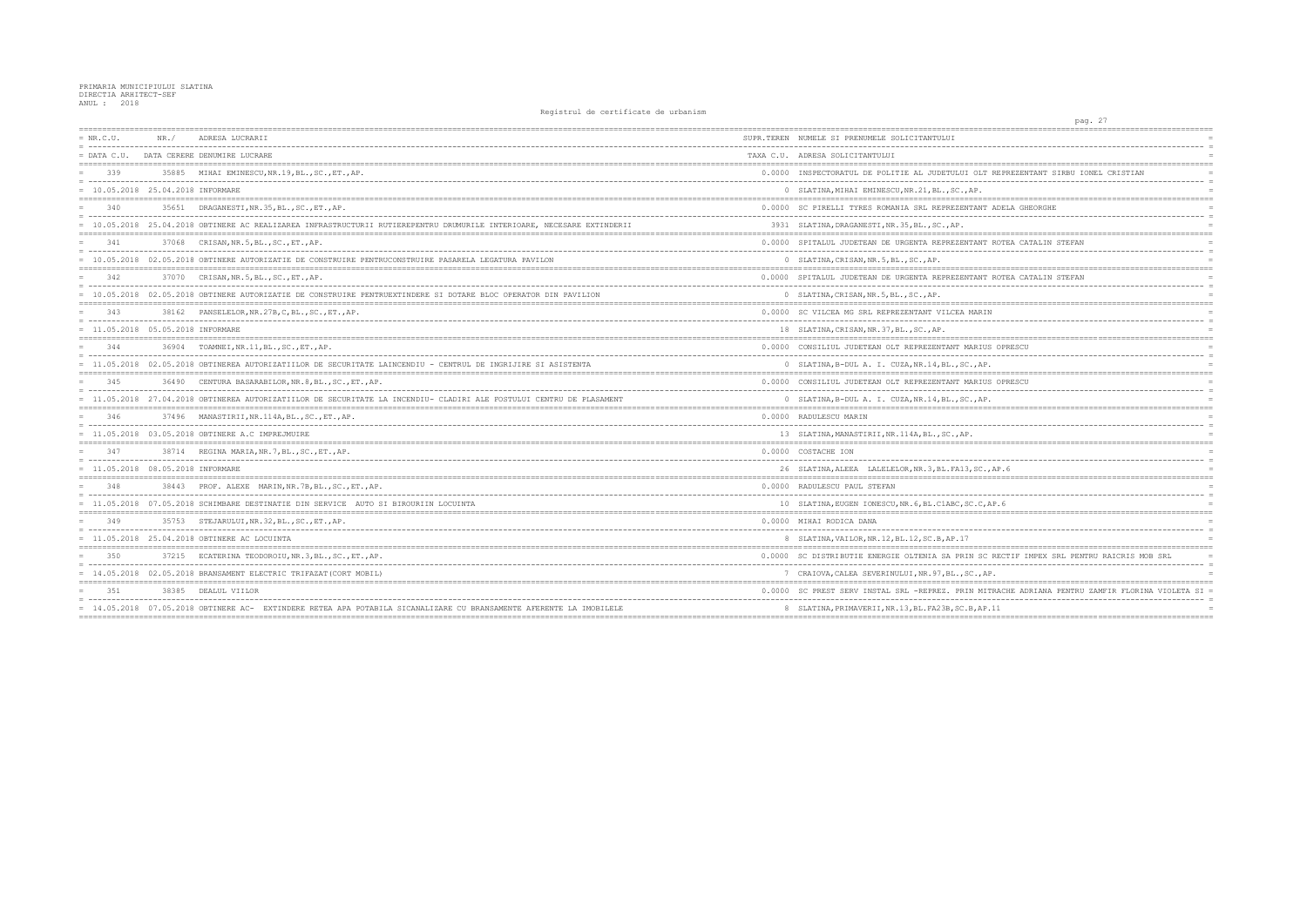| $= NR.C.U.$                         | NR. / | ADRESA LUCRARII                                                                                                        | SUPR.TEREN NUMELE SI PRENUMELE SOLICITANTULUI       |
|-------------------------------------|-------|------------------------------------------------------------------------------------------------------------------------|-----------------------------------------------------|
|                                     |       | = DATA C.U. DATA CERERE DENUMIRE LUCRARE                                                                               | TAXA C.U. ADRESA SOLICITANTULUI                     |
| 339                                 |       | 35885 MIHAI EMINESCU, NR. 19, BL., SC., ET., AP.                                                                       | 0.0000 INSPECTORATUL DE POLITIE AL JUDETULUI OLT    |
| = 10.05.2018 25.04.2018 INFORMARE   |       |                                                                                                                        | 0 SLATINA, MIHAI EMINESCU, NR. 21, BL., SC., AP.    |
| 340                                 |       | 35651 DRAGANESTI, NR. 35, BL., SC., ET., AP.                                                                           | 0.0000 SC PIRELLI TYRES ROMANIA SRL REPREZENTANT    |
|                                     |       | = 10.05.2018 25.04.2018 OBTINERE AC REALIZAREA INFRASTRUCTURII RUTIEREPENTRU DRUMURILE INTERIOARE, NECESARE EXTINDERII | 3931 SLATINA, DRAGANESTI, NR. 35, BL., SC., AP.     |
| 341                                 |       | 37068 CRISAN, NR. 5, BL., SC., ET., AP.                                                                                | 0.0000 SPITALUL JUDETEAN DE URGENTA REPREZENTANT    |
|                                     |       | = 10.05.2018 02.05.2018 OBTINERE AUTORIZATIE DE CONSTRUIRE PENTRUCONSTRUIRE PASARELA LEGATURA PAVILON                  | 0 SLATINA, CRISAN, NR. 5, BL., SC., AP.             |
| 342                                 |       | 37070 CRISAN, NR. 5, BL., SC., ET., AP.                                                                                | 0.0000 SPITALUL JUDETEAN DE URGENTA REPREZENTANT    |
|                                     |       | = 10.05.2018 02.05.2018 OBTINERE AUTORIZATIE DE CONSTRUIRE PENTRUEXTINDERE SI DOTARE BLOC OPERATOR DIN PAVILION        | 0 SLATINA, CRISAN, NR. 5, BL., SC., AP.             |
| 343                                 |       | 38162 PANSELELOR, NR. 27B, C, BL., SC., ET., AP.                                                                       | 0.0000 SC VILCEA MG SRL REPREZENTANT VILCEA MARI    |
| $= 11.05.2018 05.05.2018$ INFORMARE |       |                                                                                                                        | 18 SLATINA, CRISAN, NR. 37, BL., SC., AP.           |
| 344                                 |       | 36904 TOAMNEI, NR.11, BL., SC., ET., AP.                                                                               | 0.0000 CONSILIUL JUDETEAN OLT REPREZENTANT MARIU    |
|                                     |       | = 11.05.2018 02.05.2018 OBTINEREA AUTORIZATIILOR DE SECURITATE LAINCENDIU - CENTRUL DE INGRIJIRE SI ASISTENTA          | 0 SLATINA, B-DUL A. I. CUZA, NR. 14, BL., SC., AF   |
| 345                                 |       | 36490 CENTURA BASARABILOR, NR. 8, BL., SC., ET., AP.                                                                   | 0.0000 CONSILIUL JUDETEAN OLT REPREZENTANT MARIU    |
|                                     |       | = 11.05.2018 27.04.2018 OBTINEREA AUTORIZATIILOR DE SECURITATE LA INCENDIU- CLADIRI ALE FOSTULUI CENTRU DE PLASAMENT   | 0 SLATINA, B-DUL A. I. CUZA, NR. 14, BL., SC., AF   |
| 346                                 |       | 37496 MANASTIRII, NR.114A, BL., SC., ET., AP.                                                                          | 0.0000 RADULESCU MARIN                              |
|                                     |       | = 11.05.2018 03.05.2018 OBTINERE A.C IMPREJMUIRE                                                                       | 13 SLATINA, MANASTIRII, NR. 114A, BL., SC., AP.     |
| 347                                 |       | 38714 REGINA MARIA, NR. 7, BL., SC., ET., AP.                                                                          | 0.0000 COSTACHE ION                                 |
| $= 11.05.2018 08.05.2018$ INFORMARE |       |                                                                                                                        | 26 SLATINA, ALEEA LALELELOR, NR. 3, BL. FA13, SC.   |
| 348                                 |       | 38443 PROF. ALEXE MARIN, NR. 7B, BL., SC., ET., AP.                                                                    | 0.0000 RADULESCU PAUL STEFAN                        |
|                                     |       | = 11.05.2018 07.05.2018 SCHIMBARE DESTINATIE DIN SERVICE AUTO SI BIROURIIN LOCUINTA                                    | 10 SLATINA, EUGEN IONESCU, NR. 6, BL. C1ABC, SC. C, |
| 349                                 |       | 35753 STEJARULUI, NR.32, BL., SC., ET., AP.                                                                            | 0.0000 MIHAI RODICA DANA                            |
|                                     |       | 11.05.2018 25.04.2018 OBTINERE AC LOCUINTA                                                                             | 8 SLATINA, VAILOR, NR. 12, BL. 12, SC. B, AP. 17    |
| 350                                 |       | 37215 ECATERINA TEODOROIU, NR. 3, BL., SC., ET., AP.                                                                   | 0.0000 SC DISTRIBUTIE ENERGIE OLTENIA SA PRIN SO    |
|                                     |       | = 14.05.2018 02.05.2018 BRANSAMENT ELECTRIC TRIFAZAT (CORT MOBIL)                                                      | 7 CRAIOVA, CALEA SEVERINULUI, NR. 97, BL., SC., A   |
| 3.51                                | 38385 | DEALUL VIILOR                                                                                                          | 0.0000 SC PREST SERV INSTAL SRL -REPREZ. PRIN MI    |
|                                     |       | = 14.05.2018 07.05.2018 OBTINERE AC- EXTINDERE RETEA APA POTABILA SICANALIZARE CU BRANSAMENTE AFERENTE LA IMOBILELE    | 8 SLATINA, PRIMAVERII, NR. 13, BL. FA23B, SC. B, AP |
|                                     |       |                                                                                                                        |                                                     |

| pag. 27                                                    |  |
|------------------------------------------------------------|--|
| $=$                                                        |  |
| $=$                                                        |  |
| $\equiv$                                                   |  |
| T REPREZENTANT SIRBU IONEL CRISTIAN<br>$=$                 |  |
| ----- <i>-----</i><br>$=$                                  |  |
|                                                            |  |
| $=$                                                        |  |
| T ADELA GHEORGHE<br>$=$                                    |  |
| $=$                                                        |  |
| $=$                                                        |  |
| I ROTEA CATALIN STEFAN<br>-------------------------<br>$=$ |  |
|                                                            |  |
|                                                            |  |
| I ROTEA CATALIN STEFAN<br>$=$<br>$=$                       |  |
| $=$                                                        |  |
|                                                            |  |
| IΝ<br>$=$<br>$=$                                           |  |
| $=$                                                        |  |
|                                                            |  |
| <b>JS OPRESCU</b><br>$=$<br>$=$                            |  |
| Ρ.                                                         |  |
|                                                            |  |
| JS OPRESCU<br>$=$<br>$=$                                   |  |
| Ρ.<br>$=$                                                  |  |
|                                                            |  |
| $=$                                                        |  |
| $=$                                                        |  |
|                                                            |  |
|                                                            |  |
| $=$<br>.,AP.6<br>$\equiv$                                  |  |
|                                                            |  |
|                                                            |  |
| .<br>$\equiv$<br>AP.6<br>$\equiv$                          |  |
|                                                            |  |
| $=$                                                        |  |
| $\equiv$                                                   |  |
|                                                            |  |
| C RECTIF IMPEX SRL PENTRU RAICRIS MOB SRL<br>$=$           |  |
| ----------------------------------<br>$=$<br>$=$           |  |
| AΡ.                                                        |  |
| ITRACHE ADRIANA PENTRU ZAMFIR FLORINA VIOLETA SI =         |  |
| $=$<br>$=$                                                 |  |
| P.11<br>$= 222$<br>============                            |  |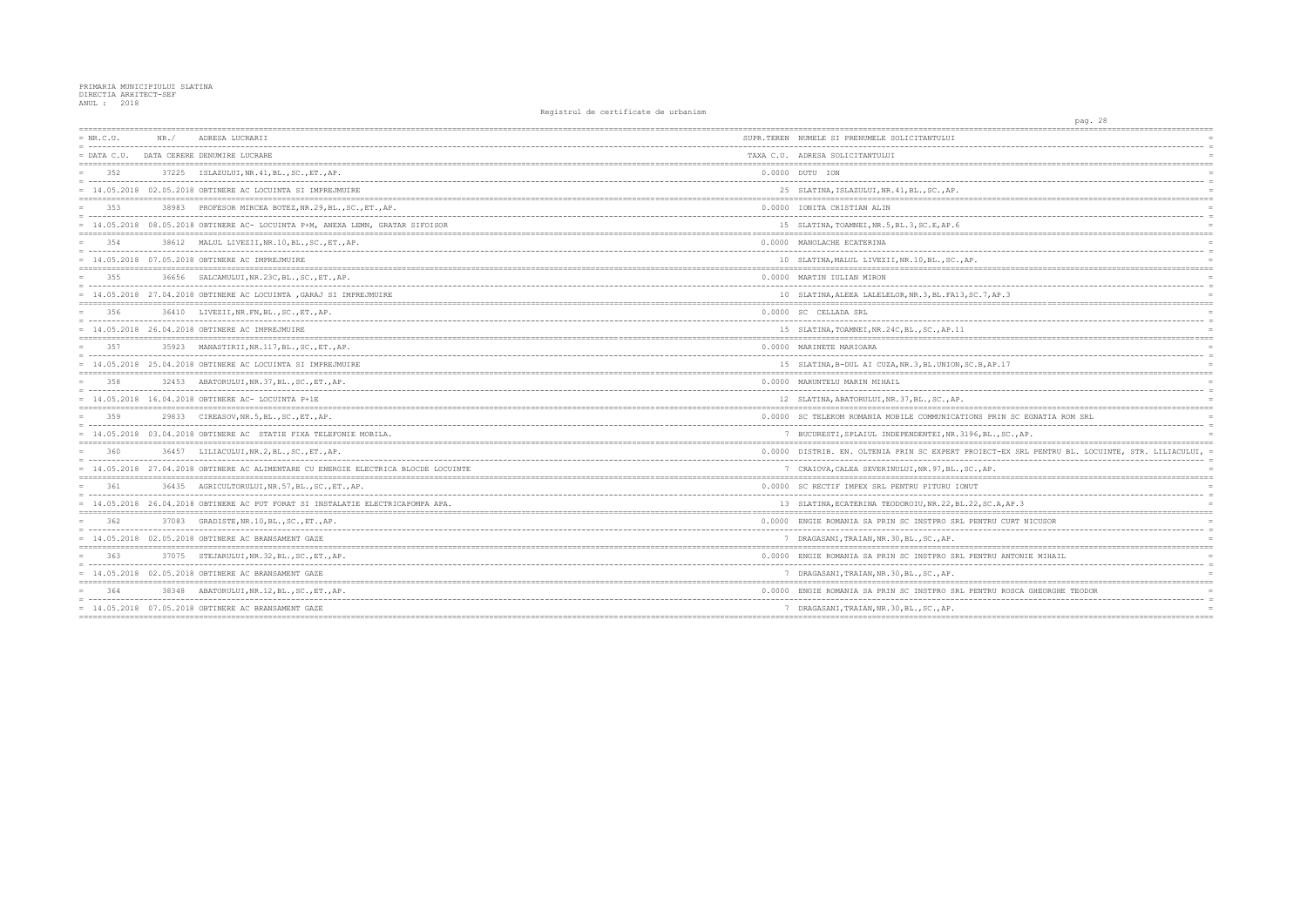| $= NR.C.U.$<br>- ----------- | NR. / | ADRESA LUCRARII                                                                     | SUPR.TEREN NUMELE SI PRENUMELE SOLICITANTULUI          |
|------------------------------|-------|-------------------------------------------------------------------------------------|--------------------------------------------------------|
| $=$ DATA C.U.                |       | DATA CERERE DENUMIRE LUCRARE                                                        | TAXA C.U. ADRESA SOLICITANTULUI                        |
| 352                          |       | 37225 ISLAZULUI, NR. 41, BL., SC., ET., AP.                                         | 0.0000 DUTU ION                                        |
|                              |       | $= 14.05.2018$ 02.05.2018 OBTINERE AC LOCUINTA SI IMPREJMUIRE                       | 25 SLATINA, ISLAZULUI, NR. 41, BL., SC., AP.           |
| 353                          |       | 38983 PROFESOR MIRCEA BOTEZ, NR. 29, BL., SC., ET., AP.                             | 0.0000 IONITA CRISTIAN ALIN                            |
|                              |       | = 14.05.2018 08.05.2018 OBTINERE AC- LOCUINTA P+M, ANEXA LEMN, GRATAR SIFOISOR      | 15 SLATINA, TOAMNEI, NR.5, BL.3, SC.E, AP.6            |
| 354                          |       | 38612 MALUL LIVEZII, NR. 10, BL., SC., ET., AP.                                     | 0.0000 MANOLACHE ECATERINA                             |
|                              |       | = 14.05.2018 07.05.2018 OBTINERE AC IMPREJMUIRE                                     | 10 SLATINA, MALUL LIVEZII, NR.10, BL., SC., AP.        |
| 355                          | 36656 | SALCAMULUI, NR.23C, BL., SC., ET., AP.                                              | 0.0000 MARTIN IULIAN MIRON                             |
|                              |       | = 14.05.2018 27.04.2018 OBTINERE AC LOCUINTA , GARAJ SI IMPREJMUIRE                 | 10 SLATINA, ALEEA LALELELOR, NR. 3, BL. FA13, SC. 7, A |
| 356                          |       | 36410 LIVEZII, NR. FN, BL., SC., ET., AP.                                           | 0.0000 SC CELLADA SRL                                  |
|                              |       | 14.05.2018 26.04.2018 OBTINERE AC IMPREJMUIRE                                       | 15 SLATINA, TOAMNEI, NR. 24C, BL., SC., AP. 11         |
| 357                          |       | 35923 MANASTIRII, NR. 117, BL., SC., ET., AP.                                       | 0.0000 MARINETE MARIOARA                               |
|                              |       | = 14.05.2018 25.04.2018 OBTINERE AC LOCUINTA SI IMPREJMUIRE                         | 15 SLATINA, B-DUL AI CUZA, NR. 3, BL. UNION, SC. B, A! |
| 358                          |       | 32453 ABATORULUI, NR. 37, BL., SC., ET., AP.                                        | 0.0000 MARUNTELU MARIN MIHAIL                          |
|                              |       | = 14.05.2018 16.04.2018 OBTINERE AC- LOCUINTA P+1E                                  | 12 SLATINA, ABATORULUI, NR. 37, BL., SC., AP.          |
| 359                          |       | 29833 CIREASOV, NR. 5, BL., SC., ET., AP.                                           | 0.0000 SC TELEKOM ROMANIA MOBILE COMMUNICATIONS PI     |
|                              |       | = 14.05.2018 03.04.2018 OBTINERE AC STATIE FIXA TELEFONIE MOBILA.                   | 7 BUCURESTI, SPLAIUL INDEPENDENTEI, NR. 3196, BL       |
| 360                          |       | 36457 LILIACULUI, NR.2, BL., SC., ET., AP.                                          | 0.0000 DISTRIB, EN. OLTENIA PRIN SC EXPERT PROIECT     |
|                              |       | = 14.05.2018 27.04.2018 OBTINERE AC ALIMENTARE CU ENERGIE ELECTRICA BLOCDE LOCUINTE | 7 CRAIOVA, CALEA SEVERINULUI, NR. 97, BL., SC., AP     |
| 361                          |       | 36435 AGRICULTORULUI, NR. 57, BL., SC., ET., AP.                                    | 0.0000 SC RECTIF IMPEX SRL PENTRU PITURU IONUT         |
|                              |       | = 14.05.2018 26.04.2018 OBTINERE AC PUT FORAT SI INSTALATIE ELECTRICAPOMPA APA.     | 13 SLATINA, ECATERINA TEODOROIU, NR. 22, BL. 22, SC    |
| 362                          |       | 37083 GRADISTE, NR. 10, BL., SC., ET., AP.                                          | 0.0000 ENGIE ROMANIA SA PRIN SC INSTPRO SRL PENTRI     |
|                              |       | $= 14.05.2018$ 02.05.2018 OBTINERE AC BRANSAMENT GAZE                               | 7 DRAGASANI, TRAIAN, NR. 30, BL., SC., AP.             |
| 363                          |       | 37075 STEJARULUI, NR. 32, BL., SC., ET., AP.                                        | 0.0000 ENGIE ROMANIA SA PRIN SC INSTPRO SRL PENTRI     |
|                              |       | $= 14.05.2018$ 02.05.2018 OBTINERE AC BRANSAMENT GAZE                               | 7 DRAGASANI, TRAIAN, NR.30, BL., SC., AP.              |
| 364                          |       | 38348 ABATORULUI, NR.12, BL., SC., ET., AP.                                         | 0.0000 ENGIE ROMANIA SA PRIN SC INSTPRO SRL PENTRI     |
|                              |       | $= 14.05.2018$ 07.05.2018 OBTINERE AC BRANSAMENT GAZE                               | 7 DRAGASANI, TRAIAN, NR. 30, BL., SC., AP.             |
|                              |       |                                                                                     |                                                        |

| pag. 28<br>=================<br>===========       |                 |
|---------------------------------------------------|-----------------|
|                                                   |                 |
|                                                   | $=$             |
|                                                   | $=$             |
| ======                                            | $=$             |
|                                                   | $=$<br>$=$      |
|                                                   | $=$             |
| ========                                          | $=$             |
|                                                   | $=$             |
|                                                   | $=$             |
| ========                                          | $=$<br>$=$      |
|                                                   |                 |
|                                                   | $=$             |
|                                                   | $=$             |
|                                                   | $=$             |
|                                                   | $=$             |
| .7, AP.3                                          | $\equiv$<br>$=$ |
|                                                   | $=$             |
|                                                   | $=$             |
|                                                   | $=$             |
|                                                   | $=$             |
|                                                   |                 |
|                                                   | $=$             |
| B,AP.17                                           | $=$             |
| $=$<br>--------------------                       | $=$             |
|                                                   | $=$<br>$=$      |
|                                                   | $=$             |
|                                                   | $=$             |
| S PRIN SC EGNATIA ROM SRL                         | $=$             |
| ----------<br>$-$                                 | $=$             |
| , $BL.$ , $SC.$ , $AP.$                           | $=$             |
| IECT-EX SRL PENTRU BL. LOCUINTE, STR. LILIACULUI, | $\equiv$        |
|                                                   | $=$             |
| $,$ AP.                                           |                 |
| __________<br>----------------------------        | $=$             |
|                                                   | $=$<br>$=$      |
| , $SC.A, AP.3$                                    | $=$             |
|                                                   | $=$             |
| NTRU CURT NICUSOR                                 | $=$             |
|                                                   | $=$             |
|                                                   | $=$             |
| NTRU ANTONIE MIHAIL                               | $=$             |
|                                                   | $=$             |
|                                                   | $=$             |
|                                                   |                 |
| NTRU ROSCA GHEORGHE TEODOR                        | $=$             |
|                                                   | $=$<br>$=$      |
|                                                   |                 |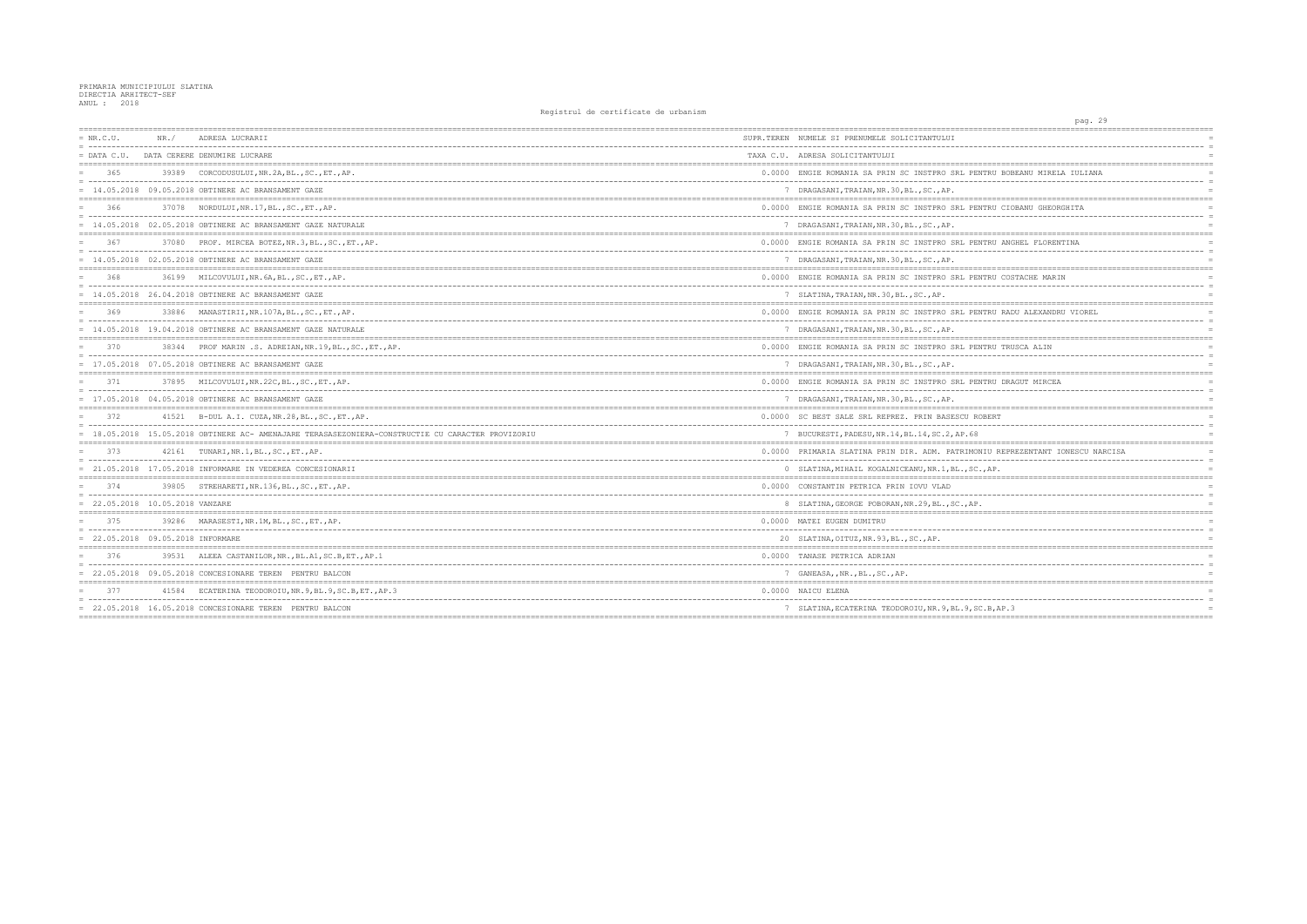| $= NR.C.U.$                         | NR. / | ADRESA LUCRARII                                                                                   | SUPR.TEREN NUMELE SI PRENUMELE SOLICITANTULUI       |
|-------------------------------------|-------|---------------------------------------------------------------------------------------------------|-----------------------------------------------------|
| $=$ DATA C.U.                       |       | DATA CERERE DENUMIRE LUCRARE                                                                      | TAXA C.U. ADRESA SOLICITANTULUI                     |
| 365                                 |       | 39389 CORCODUSULUI, NR.2A, BL., SC., ET., AP.                                                     | 0.0000 ENGIE ROMANIA SA PRIN SC INSTPRO SRL PENTF   |
|                                     |       | $= 14.05.2018$ 09.05.2018 OBTINERE AC BRANSAMENT GAZE                                             | 7 DRAGASANI, TRAIAN, NR.30, BL., SC., AP.           |
| 366                                 |       | 37078 NORDULUI, NR. 17, BL., SC., ET., AP.                                                        | 0.0000 ENGIE ROMANIA SA PRIN SC INSTPRO SRL PENTF   |
|                                     |       | = 14.05.2018 02.05.2018 OBTINERE AC BRANSAMENT GAZE NATURALE                                      | 7 DRAGASANI, TRAIAN, NR. 30, BL., SC., AP.          |
| 367                                 |       | 37080 PROF. MIRCEA BOTEZ, NR. 3, BL., SC., ET., AP.                                               | 0.0000 ENGIE ROMANIA SA PRIN SC INSTPRO SRL PENTF   |
|                                     |       | $= 14.05.2018$ 02.05.2018 OBTINERE AC BRANSAMENT GAZE                                             | 7 DRAGASANI, TRAIAN, NR. 30, BL., SC., AP.          |
| 368                                 |       | 36199 MILCOVULUI, NR. 6A, BL., SC., ET., AP.                                                      | 0.0000 ENGIE ROMANIA SA PRIN SC INSTPRO SRL PENTF   |
|                                     |       | $= 14.05.2018$ 26.04.2018 OBTINERE AC BRANSAMENT GAZE                                             | 7 SLATINA, TRAIAN, NR. 30, BL., SC., AP.            |
| 369                                 |       | 33886 MANASTIRII, NR. 107A, BL., SC., ET., AP.                                                    | 0.0000 ENGIE ROMANIA SA PRIN SC INSTPRO SRL PENTF   |
|                                     |       | = 14.05.2018 19.04.2018 OBTINERE AC BRANSAMENT GAZE NATURALE                                      | 7 DRAGASANI, TRAIAN, NR. 30, BL., SC., AP.          |
| 370                                 |       | 38344 PROF MARIN .S. ADREIAN, NR. 19, BL., SC., ET., AP.                                          | 0.0000 ENGIE ROMANIA SA PRIN SC INSTPRO SRL PENTF   |
|                                     |       | $= 17.05.2018$ 07.05.2018 OBTINERE AC BRANSAMENT GAZE                                             | 7 DRAGASANI, TRAIAN, NR. 30, BL., SC., AP.          |
| 371                                 |       | 37895 MILCOVULUI, NR.22C, BL., SC., ET., AP.                                                      | 0.0000 ENGIE ROMANIA SA PRIN SC INSTPRO SRL PENTE   |
|                                     |       | = 17.05.2018 04.05.2018 OBTINERE AC BRANSAMENT GAZE                                               | 7 DRAGASANI, TRAIAN, NR. 30, BL., SC., AP.          |
| 372                                 |       | 41521 B-DUL A.I. CUZA, NR.28, BL., SC., ET., AP.                                                  | 0.0000 SC BEST SALE SRL REPREZ. PRIN BASESCU ROBE   |
|                                     |       | = 18.05.2018 15.05.2018 OBTINERE AC- AMENAJARE TERASASEZONIERA-CONSTRUCTIE CU CARACTER PROVIZORIU | 7 BUCURESTI, PADESU, NR. 14, BL. 14, SC. 2, AP. 68  |
| 373                                 |       | 42161 TUNARI, NR. 1, BL., SC., ET., AP.                                                           | 0.0000 PRIMARIA SLATINA PRIN DIR. ADM. PATRIMONIU   |
|                                     |       | = 21.05.2018 17.05.2018 INFORMARE IN VEDEREA CONCESIONARII                                        | 0 SLATINA, MIHAIL KOGALNICEANU, NR. 1, BL., SC., A  |
| 374                                 |       | 39805 STREHARETI, NR. 136, BL., SC., ET., AP.                                                     | 0.0000 CONSTANTIN PETRICA PRIN IOVU VLAD            |
| $= 22.05.2018 10.05.2018 VANZARE$   |       |                                                                                                   | 8 SLATINA, GEORGE POBORAN, NR. 29, BL., SC., AP.    |
| 375                                 |       | 39286 MARASESTI, NR.1M, BL., SC., ET., AP.                                                        | 0.0000 MATEI EUGEN DUMITRU                          |
| $= 22.05.2018 09.05.2018$ INFORMARE |       |                                                                                                   | 20 SLATINA, OITUZ, NR. 93, BL., SC., AP.            |
| 376                                 |       | 39531 ALEEA CASTANILOR, NR., BL.A1, SC.B, ET., AP.1                                               | 0.0000 TANASE PETRICA ADRIAN                        |
|                                     |       | 22.05.2018 09.05.2018 CONCESIONARE TEREN PENTRU BALCON                                            | 7 GANEASA, , NR., BL., SC., AP.                     |
| 377                                 |       | 41584 ECATERINA TEODOROIU, NR. 9, BL. 9, SC. B, ET., AP. 3                                        | 0.0000 NAICU ELENA                                  |
|                                     |       | $= 22.05.2018$ 16.05.2018 CONCESIONARE TEREN PENTRU BALCON                                        | 7 SLATINA, ECATERINA TEODOROIU, NR. 9, BL. 9, SC. E |
|                                     |       |                                                                                                   |                                                     |

| pag. 29                                                     |  |
|-------------------------------------------------------------|--|
|                                                             |  |
|                                                             |  |
| $=$                                                         |  |
| $=$                                                         |  |
|                                                             |  |
| NTRU BOBEANU MIRELA IULIANA<br>$=$                          |  |
| $\equiv$                                                    |  |
| $=$                                                         |  |
|                                                             |  |
| NTRU CIOBANU GHEORGHITA<br>$=$                              |  |
| $\equiv$<br>$=$                                             |  |
|                                                             |  |
| NTRU ANGHEL FLORENTINA<br>$=$                               |  |
| -------------------------<br>$\equiv$                       |  |
| $=$                                                         |  |
|                                                             |  |
| NTRU COSTACHE MARIN<br>$=$                                  |  |
| ----<br>$=$                                                 |  |
| $=$                                                         |  |
|                                                             |  |
| NTRU RADU ALEXANDRU VIOREL<br>$=$                           |  |
| $- - - -$<br>$=$                                            |  |
| $=$                                                         |  |
| -------------------------------------<br>================   |  |
| NTRU TRUSCA ALIN<br>$=$                                     |  |
| $=$                                                         |  |
| $=$                                                         |  |
|                                                             |  |
| NTRU DRAGUT MIRCEA<br>$=$                                   |  |
| $\equiv$                                                    |  |
| $=$                                                         |  |
|                                                             |  |
| OBERT<br>$=$                                                |  |
| $\equiv$                                                    |  |
| $=$                                                         |  |
|                                                             |  |
| NIU REPREZENTANT IONESCU NARCISA<br>$=$                     |  |
| $\equiv$                                                    |  |
| $.,$ AP.<br>$=$                                             |  |
|                                                             |  |
| $=$<br>------------------                                   |  |
| $\equiv$                                                    |  |
| $\equiv$                                                    |  |
| $=$                                                         |  |
| ---<br>$=$                                                  |  |
| $=$                                                         |  |
|                                                             |  |
| $=$                                                         |  |
| --------<br>$=$                                             |  |
| $=$                                                         |  |
|                                                             |  |
| $=$                                                         |  |
| $=$                                                         |  |
| C.B, AP.3<br>$=$                                            |  |
| ===============<br>==========================<br>========== |  |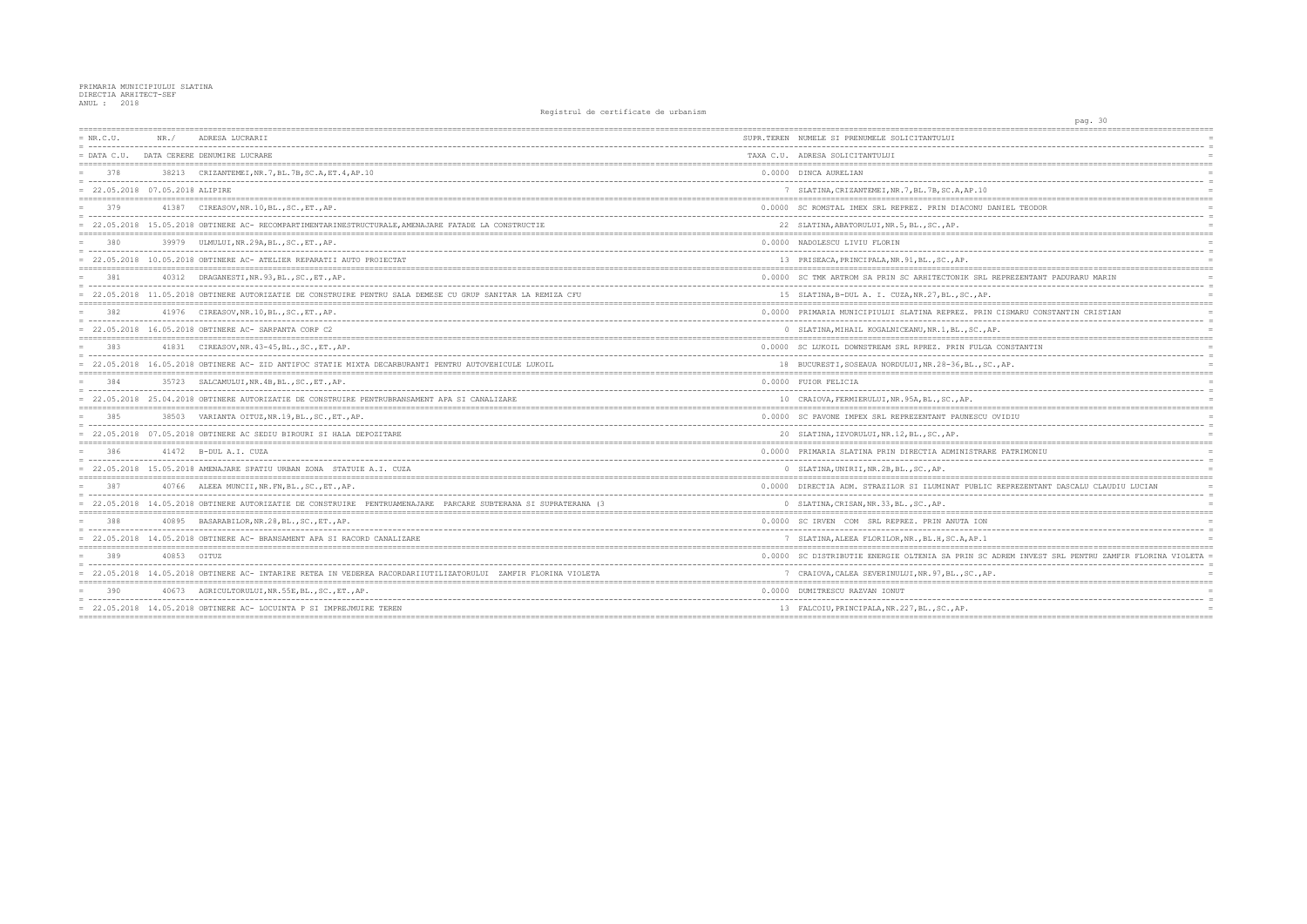| $= NR.C.U.$                       | NR./        | ADRESA LUCRARII                                                                                                                                       | SUPR.TEREN NUMELE SI PRENUMELE SOLICITANTULUI                            |
|-----------------------------------|-------------|-------------------------------------------------------------------------------------------------------------------------------------------------------|--------------------------------------------------------------------------|
|                                   |             | = DATA C.U. DATA CERERE DENUMIRE LUCRARE                                                                                                              | TAXA C.U. ADRESA SOLICITANTULUI                                          |
| 378                               |             | 38213 CRIZANTEMEI, NR. 7, BL. 7B, SC. A, ET. 4, AP. 10                                                                                                | 0.0000 DINCA AURELIAN                                                    |
| $= 22.05.2018 07.05.2018 ALIPIRE$ |             |                                                                                                                                                       | 7 SLATINA, CRIZANTEMEI, NR. 7, BL. 7B, SC. A, AP. 10                     |
| 379                               |             | 41387 CIREASOV, NR. 10, BL., SC., ET., AP.                                                                                                            | 0.0000 SC ROMSTAL IMEX SRL REPREZ. PRIN DIACONU                          |
|                                   |             | 22.05.2018 15.05.2018 OBTINERE AC- RECOMPARTIMENTARINESTRUCTURALE, AMENAJARE FATADE LA CONSTRUCTIE                                                    | 22 SLATINA, ABATORULUI, NR.5, BL., SC., AP.                              |
| 380                               |             | 39979 ULMULUI, NR.29A, BL., SC., ET., AP.                                                                                                             | 0.0000 NADOLESCU LIVIU FLORIN                                            |
|                                   |             | = 22.05.2018 10.05.2018 OBTINERE AC- ATELIER REPARATII AUTO PROIECTAT                                                                                 | 13 PRISEACA, PRINCIPALA, NR. 91, BL., SC., AP.                           |
| 381                               |             | 40312 DRAGANESTI, NR. 93, BL., SC., ET., AP.                                                                                                          | 0.0000 SC TMK ARTROM SA PRIN SC ARHITECTONIK SRI                         |
|                                   |             | = 22.05.2018 11.05.2018 OBTINERE AUTORIZATIE DE CONSTRUIRE PENTRU SALA DEMESE CU GRUP SANITAR LA REMIZA CFU                                           | 15 SLATINA, B-DUL A. I. CUZA, NR. 27, BL., SC., AF                       |
| 382                               |             | 41976 CIREASOV, NR. 10, BL., SC., ET., AP.                                                                                                            | 0.0000 PRIMARIA MUNICIPIULUI SLATINA REPREZ. PRI                         |
|                                   |             | 22.05.2018  16.05.2018  OBTINERE AC- SARPANTA CORP C2                                                                                                 | 0 SLATINA, MIHAIL KOGALNICEANU, NR. 1, BL., SC.,                         |
| 383                               |             | 41831 CIREASOV, NR. 43-45, BL., SC., ET., AP.                                                                                                         | 0.0000 SC LUKOIL DOWNSTREAM SRL RPREZ. PRIN FULG                         |
| 384                               |             | = 22.05.2018 16.05.2018 OBTINERE AC- ZID ANTIFOC STATIE MIXTA DECARBURANTI PENTRU AUTOVEHICULE LUKOIL<br>35723 SALCAMULUI, NR. 4B, BL., SC., ET., AP. | 18 BUCURESTI, SOSEAUA NORDULUI, NR.28-36, BL., S<br>0.0000 FUIOR FELICIA |
|                                   |             | = 22.05.2018 25.04.2018 OBTINERE AUTORIZATIE DE CONSTRUIRE PENTRUBRANSAMENT APA SI CANALIZARE                                                         | 10 CRAIOVA, FERMIERULUI, NR. 95A, BL., SC., AP.                          |
| 385                               |             | 38503 VARIANTA OITUZ, NR. 19, BL., SC., ET., AP.                                                                                                      | 0.0000 SC PAVONE IMPEX SRL REPREZENTANT PAUNESCU                         |
|                                   |             | = 22.05.2018 07.05.2018 OBTINERE AC SEDIU BIROURI SI HALA DEPOZITARE                                                                                  | 20 SLATINA, IZVORULUI, NR.12, BL., SC., AP.                              |
| 386                               |             | 41472 B-DUL A.I. CUZA                                                                                                                                 | 0.0000 PRIMARIA SLATINA PRIN DIRECTIA ADMINISTRA                         |
|                                   |             | = 22.05.2018 15.05.2018 AMENAJARE SPATIU URBAN ZONA STATUIE A.I. CUZA                                                                                 | 0 SLATINA, UNIRII, NR. 2B, BL., SC., AP.                                 |
| 387                               |             | 40766 ALEEA MUNCII, NR. FN, BL., SC., ET., AP.                                                                                                        | 0.0000 DIRECTIA ADM. STRAZILOR SI ILUMINAT PUBLI                         |
|                                   |             | = 22.05.2018 14.05.2018 OBTINERE AUTORIZATIE DE CONSTRUIRE PENTRUAMENAJARE PARCARE SUBTERANA SI SUPRATERANA (3                                        | 0 SLATINA, CRISAN, NR. 33, BL., SC., AP.                                 |
| 388                               |             | 40895 BASARABILOR, NR. 28, BL., SC., ET., AP.                                                                                                         | 0.0000 SC IRVEN COM SRL REPREZ. PRIN ANUTA ION                           |
|                                   |             | = 22.05.2018 14.05.2018 OBTINERE AC- BRANSAMENT APA SI RACORD CANALIZARE                                                                              | 7 SLATINA, ALEEA FLORILOR, NR., BL.H, SC.A, AP.1                         |
| 389                               | 40853 OITUZ |                                                                                                                                                       | 0.0000 SC DISTRIBUTIE ENERGIE OLTENIA SA PRIN SC                         |
|                                   |             | = 22.05.2018 14.05.2018 OBTINERE AC- INTARIRE RETEA IN VEDEREA RACORDARIIUTILIZATORULUI ZAMFIR FLORINA VIOLETA                                        | 7 CRAIOVA, CALEA SEVERINULUI, NR. 97, BL., SC., A                        |
| 390                               |             | 40673 AGRICULTORULUI, NR. 55E, BL., SC., ET., AP.                                                                                                     | 0.0000 DUMITRESCU RAZVAN IONUT                                           |
|                                   |             | = 22.05.2018 14.05.2018 OBTINERE AC- LOCUINTA P SI IMPREJMUIRE TEREN                                                                                  | 13 FALCOIU, PRINCIPALA, NR. 227, BL., SC., AP.                           |
|                                   |             |                                                                                                                                                       |                                                                          |

| -30<br>pag.                                    |                 |
|------------------------------------------------|-----------------|
|                                                |                 |
|                                                | $=$<br>$=$      |
|                                                | $=$             |
|                                                |                 |
|                                                | $=$             |
|                                                |                 |
|                                                | $=$             |
| DANIEL TEODOR                                  | $=$             |
|                                                |                 |
|                                                | $=$             |
|                                                | $=$             |
|                                                | $=$             |
|                                                | $\equiv$        |
|                                                |                 |
| REPREZENTANT PADURARU MARIN                    | $=$             |
|                                                | $\equiv$<br>$=$ |
|                                                |                 |
| N CISMARU CONSTANTIN CRISTIAN                  | $=$             |
|                                                | $=$             |
| AP.                                            | $=$             |
|                                                | $=$             |
| A CONSTANTIN<br>--------------                 |                 |
| C.,AP.                                         | $=$             |
|                                                |                 |
|                                                | $=$             |
|                                                | $=$             |
|                                                |                 |
| OVIDIU                                         | $=$             |
|                                                | $=$             |
|                                                |                 |
| RE PATRIMONIU                                  | $=$             |
|                                                | $=$             |
|                                                | $=$             |
|                                                |                 |
| C REPREZENTANT DASCALU CLAUDIU LUCIAN          | $=$             |
|                                                | $=$<br>$=$      |
|                                                |                 |
|                                                |                 |
|                                                |                 |
|                                                |                 |
| ADREM INVEST SRL PENTRU ZAMFIR FLORINA VIOLETA | $=$             |
|                                                |                 |
| Ρ.                                             | $=$             |
|                                                |                 |
|                                                |                 |
|                                                | $=$             |
|                                                |                 |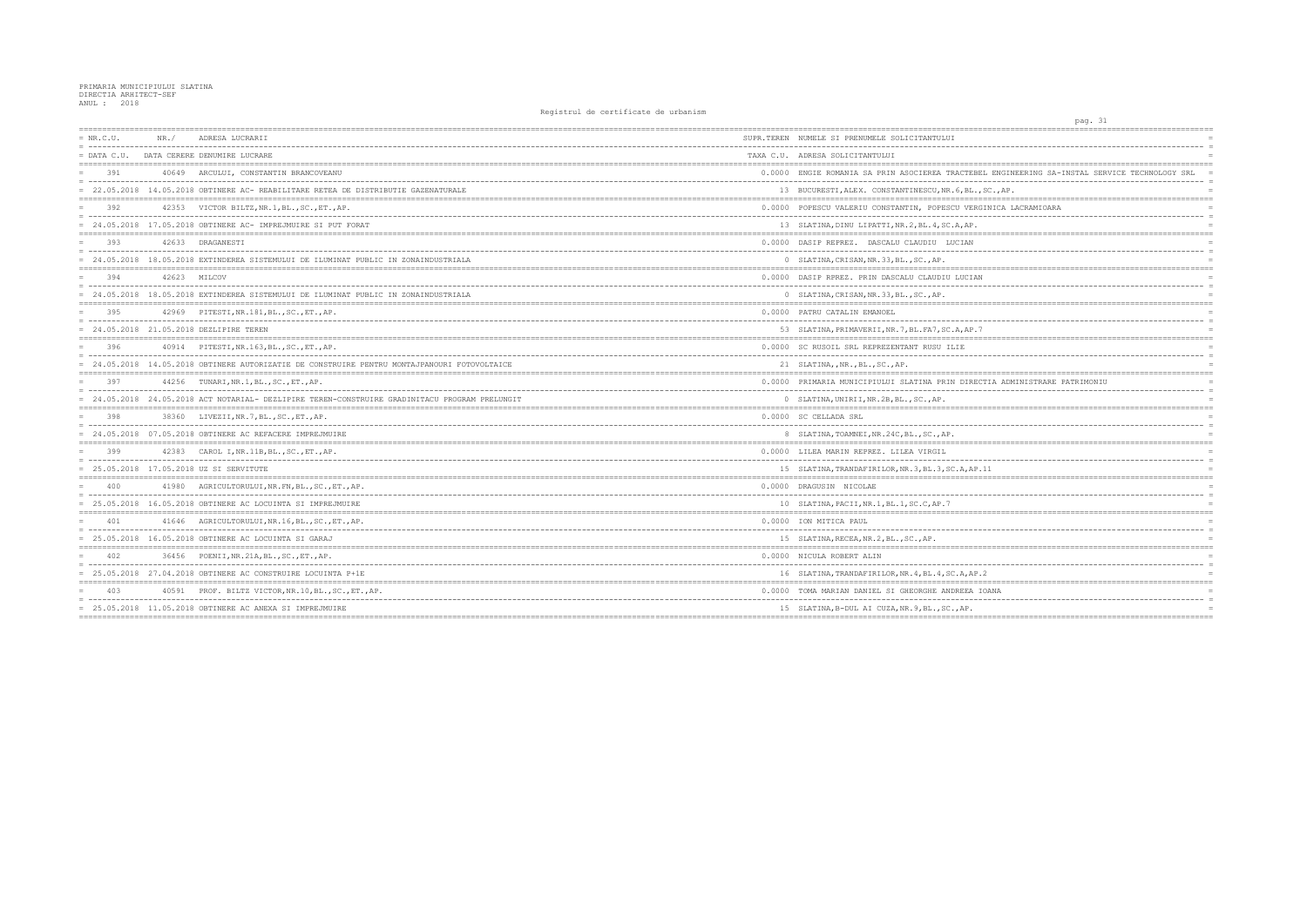| $= NR.C.U.$   | NR./ | ADRESA LUCRARII                                                                                | SUPR.TEREN NUMELE SI PRENUMELE SOLICITANTULUI         |
|---------------|------|------------------------------------------------------------------------------------------------|-------------------------------------------------------|
| $=$ DATA C.U. |      | DATA CERERE DENUMIRE LUCRARE                                                                   | TAXA C.U. ADRESA SOLICITANTULUI                       |
| 391           |      | 40649 ARCULUI, CONSTANTIN BRANCOVEANU                                                          | 0.0000 ENGIE ROMANIA SA PRIN ASOCIEREA TRACTEBEI      |
|               |      | = 22.05.2018 14.05.2018 OBTINERE AC- REABILITARE RETEA DE DISTRIBUTIE GAZENATURALE             | 13 BUCURESTI, ALEX. CONSTANTINESCU, NR. 6, BL., S     |
| 392           |      | 42353 VICTOR BILTZ, NR. 1, BL., SC., ET., AP.                                                  | 0.0000 POPESCU VALERIU CONSTANTIN, POPESCU VERGI      |
|               |      | 24.05.2018 17.05.2018 OBTINERE AC- IMPREJMUIRE SI PUT FORAT                                    | 13 SLATINA, DINU LIPATTI, NR. 2, BL. 4, SC. A, AP.    |
| 393           |      | 42633 DRAGANESTI                                                                               | 0.0000 DASIP REPREZ. DASCALU CLAUDIU LUCIAN           |
|               |      | = 24.05.2018 18.05.2018 EXTINDEREA SISTEMULUI DE ILUMINAT PUBLIC IN ZONAINDUSTRIALA            | 0 SLATINA, CRISAN, NR. 33, BL., SC., AP.              |
| 394           |      | 42623 MILCOV                                                                                   | 0.0000 DASIP RPREZ. PRIN DASCALU CLAUDIU LUCIAN       |
|               |      | = 24.05.2018 18.05.2018 EXTINDEREA SISTEMULUI DE ILUMINAT PUBLIC IN ZONAINDUSTRIALA            | 0 SLATINA, CRISAN, NR. 33, BL., SC., AP.              |
| 395           |      | 42969 PITESTI, NR.181, BL., SC., ET., AP.                                                      | 0.0000 PATRU CATALIN EMANOEL                          |
|               |      | = 24.05.2018 21.05.2018 DEZLIPIRE TEREN                                                        | 53 SLATINA, PRIMAVERII, NR. 7, BL. FA7, SC. A, AP. 7  |
| 396           |      | 40914 PITESTI, NR.163, BL., SC., ET., AP.                                                      | 0.0000 SC RUSOIL SRL REPREZENTANT RUSU ILIE           |
|               |      | = 24.05.2018 14.05.2018 OBTINERE AUTORIZATIE DE CONSTRUIRE PENTRU MONTAJPANOURI FOTOVOLTAICE   | 21 SLATINA, , NR., BL., SC., AP.                      |
| 397           |      | 44256 TUNARI, NR. 1, BL., SC., ET., AP.                                                        | 0.0000 PRIMARIA MUNICIPIULUI SLATINA PRIN DIRECT      |
|               |      | = 24.05.2018 24.05.2018 ACT NOTARIAL- DEZLIPIRE TEREN-CONSTRUIRE GRADINITACU PROGRAM PRELUNGIT | 0 SLATINA, UNIRII, NR. 2B, BL., SC., AP.              |
| 398           |      | 38360 LIVEZII, NR. 7, BL., SC., ET., AP.                                                       | 0.0000 SC CELLADA SRL                                 |
|               |      | = 24.05.2018 07.05.2018 OBTINERE AC REFACERE IMPREJMUIRE                                       | 8 SLATINA, TOAMNEI, NR. 24C, BL., SC., AP.            |
| 399           |      | 42383 CAROL I, NR. 11B, BL., SC., ET., AP.                                                     | 0.0000 LILEA MARIN REPREZ. LILEA VIRGIL               |
|               |      | = 25.05.2018 17.05.2018 UZ SI SERVITUTE                                                        | 15 SLATINA, TRANDAFIRILOR, NR. 3, BL. 3, SC. A, AP. 1 |
| 400           |      | 41980 AGRICULTORULUI, NR. FN, BL., SC., ET., AP.                                               | 0.0000 DRAGUSIN NICOLAE                               |
|               |      | = 25.05.2018 16.05.2018 OBTINERE AC LOCUINTA SI IMPREJMUIRE                                    | 10 SLATINA, PACII, NR. 1, BL. 1, SC. C, AP. 7         |
| 401           |      | 41646 AGRICULTORULUI, NR. 16, BL., SC., ET., AP.                                               | 0.0000 ION MITICA PAUL                                |
|               |      | $= 25.05.2018$ 16.05.2018 OBTINERE AC LOCUINTA SI GARAJ                                        | 15 SLATINA, RECEA, NR. 2, BL., SC., AP.               |
| 402           |      | 36456 POENII, NR. 21A, BL., SC., ET., AP.                                                      | 0.0000 NICULA ROBERT ALIN                             |
|               |      | $= 25.05.2018$ 27.04.2018 OBTINERE AC CONSTRUIRE LOCUINTA P+1E                                 | 16 SLATINA, TRANDAFIRILOR, NR. 4, BL. 4, SC. A, AP. 2 |
| 403           |      | 40591 PROF. BILTZ VICTOR, NR. 10, BL., SC., ET., AP.                                           | 0.0000 TOMA MARIAN DANIEL SI GHEORGHE ANDREEA IO      |
|               |      | $= 25.05.2018$ 11.05.2018 OBTINERE AC ANEXA SI IMPREJMUIRE                                     | 15 SLATINA, B-DUL AI CUZA, NR. 9, BL., SC., AP.       |
|               |      |                                                                                                |                                                       |

| pag. 31                                          |                      |
|--------------------------------------------------|----------------------|
| :============<br>==============                  |                      |
|                                                  | $\equiv$             |
|                                                  |                      |
|                                                  |                      |
| L ENGINEERING SA-INSTAL SERVICE TECHNOLOGY SRL   | $\equiv$<br>$\equiv$ |
| SC., AP.                                         | $=$                  |
|                                                  | $=$ $=$ $=$ $=$      |
| INICA LACRAMIOARA                                | $=$                  |
|                                                  |                      |
| =======                                          | $=$                  |
|                                                  | $=$                  |
|                                                  | $=$                  |
|                                                  | $=$                  |
|                                                  |                      |
|                                                  | $=$                  |
|                                                  |                      |
|                                                  | $=$                  |
|                                                  | $=$                  |
|                                                  | $=$<br>$=$           |
| ;=========<br>$:= = = = = = :$                   |                      |
|                                                  | $=$                  |
|                                                  |                      |
| .====================================            | $\equiv$             |
| TIA ADMINISTRARE PATRIMONIU                      | $=$                  |
|                                                  | $=$                  |
|                                                  | $=$                  |
| ======                                           | $== ==$              |
|                                                  |                      |
|                                                  |                      |
|                                                  |                      |
|                                                  | $=$                  |
| 11                                               | $=$<br>$=$           |
| $=$ = = = =<br>;================================ |                      |
|                                                  | $\equiv$             |
|                                                  | $=$                  |
|                                                  | $=$                  |
| ===============================                  | $=$<br>$=$           |
|                                                  | $=$                  |
|                                                  |                      |
|                                                  | $=$                  |
|                                                  |                      |
|                                                  |                      |
|                                                  | $\equiv$<br>$=$      |
| 2<br>==========                                  | $=$                  |
| OANA                                             | $=$                  |
|                                                  |                      |
|                                                  | $=$                  |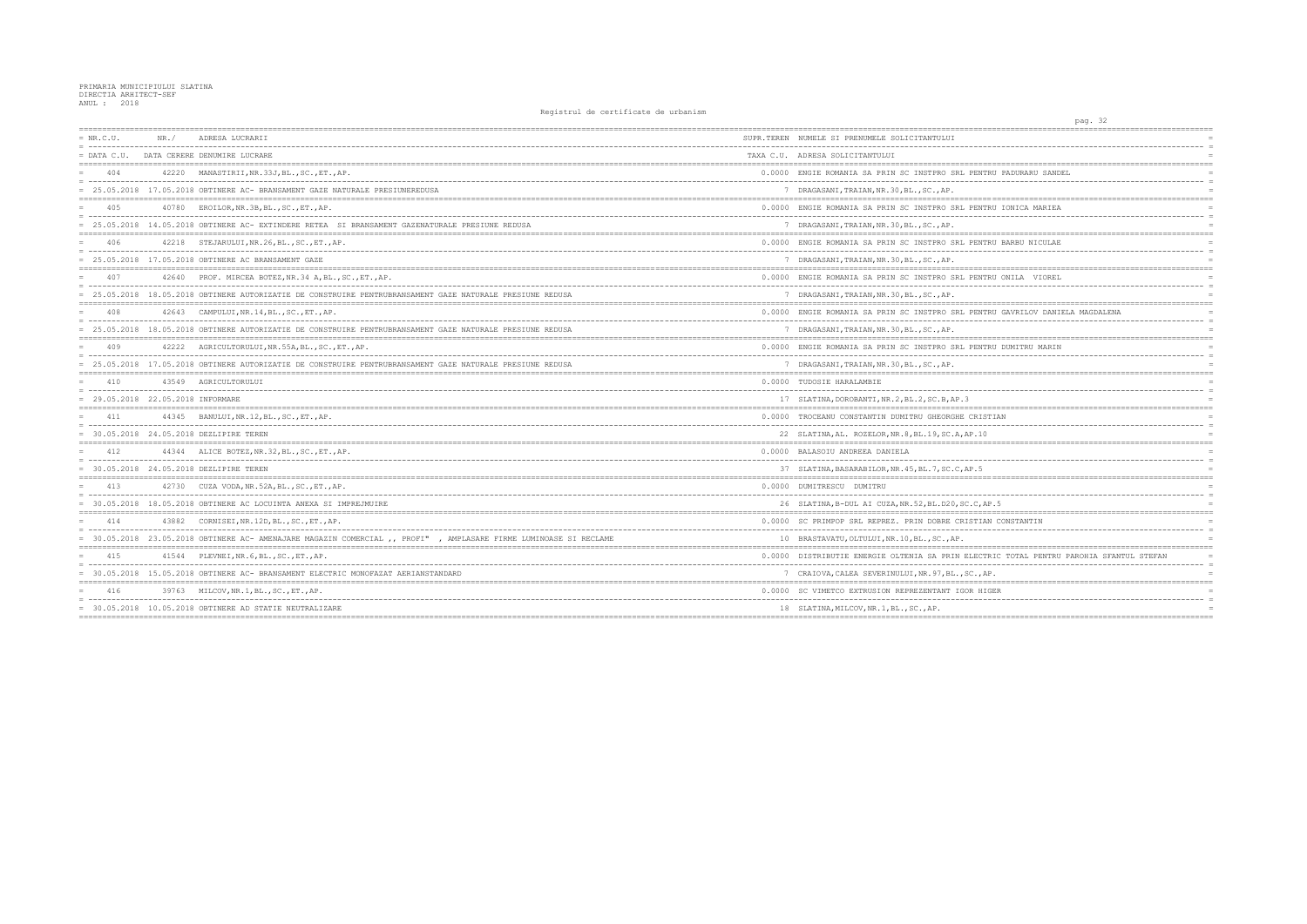| $= NR.C.U.$                       | NR. / | ADRESA LUCRARII                                                                                                  | SUPR.TEREN NUMELE SI PRENUMELE SOLICITANTULUI         |
|-----------------------------------|-------|------------------------------------------------------------------------------------------------------------------|-------------------------------------------------------|
|                                   |       | = DATA C.U. DATA CERERE DENUMIRE LUCRARE                                                                         | TAXA C.U. ADRESA SOLICITANTULUI                       |
| 404                               |       | 42220 MANASTIRII, NR. 33J, BL., SC., ET., AP.                                                                    | 0.0000 ENGIE ROMANIA SA PRIN SC INSTPRO SRL PENTF     |
|                                   |       | = 25.05.2018 17.05.2018 OBTINERE AC- BRANSAMENT GAZE NATURALE PRESIUNEREDUSA                                     | 7 DRAGASANI, TRAIAN, NR. 30, BL., SC., AP.            |
| 405                               |       | 40780 EROILOR, NR. 3B, BL., SC., ET., AP.                                                                        | 0.0000 ENGIE ROMANIA SA PRIN SC INSTPRO SRL PENTF     |
|                                   |       | = 25.05.2018 14.05.2018 OBTINERE AC- EXTINDERE RETEA SI BRANSAMENT GAZENATURALE PRESIUNE REDUSA                  | 7 DRAGASANI, TRAIAN, NR. 30, BL., SC., AP.            |
| 406                               |       | 42218 STEJARULUI, NR. 26, BL., SC., ET., AP.                                                                     | 0.0000 ENGIE ROMANIA SA PRIN SC INSTPRO SRL PENTF     |
|                                   |       | $= 25.05.2018$ 17.05.2018 OBTINERE AC BRANSAMENT GAZE                                                            | 7 DRAGASANI, TRAIAN, NR. 30, BL., SC., AP.            |
| 407                               |       | 42640 PROF. MIRCEA BOTEZ, NR.34 A, BL., SC., ET., AP.                                                            | 0.0000 ENGIE ROMANIA SA PRIN SC INSTPRO SRL PENTF     |
|                                   |       | = 25.05.2018 18.05.2018 OBTINERE AUTORIZATIE DE CONSTRUIRE PENTRUBRANSAMENT GAZE NATURALE PRESIUNE REDUSA        | 7 DRAGASANI, TRAIAN, NR. 30, BL., SC., AP.            |
| 408                               |       | 42643 CAMPULUI, NR.14, BL., SC., ET., AP.                                                                        | 0.0000 ENGIE ROMANIA SA PRIN SC INSTPRO SRL PENTE     |
|                                   |       | = 25.05.2018 18.05.2018 OBTINERE AUTORIZATIE DE CONSTRUIRE PENTRUBRANSAMENT GAZE NATURALE PRESIUNE REDUSA        | 7 DRAGASANI, TRAIAN, NR. 30, BL., SC., AP.            |
| 409                               |       | 42222 AGRICULTORULUI, NR. 55A, BL., SC., ET., AP.                                                                | 0.0000 ENGIE ROMANIA SA PRIN SC INSTPRO SRL PENTE     |
|                                   |       | = 25.05.2018 17.05.2018 OBTINERE AUTORIZATIE DE CONSTRUIRE PENTRUBRANSAMENT GAZE NATURALE PRESIUNE REDUSA        | 7 DRAGASANI, TRAIAN, NR. 30, BL., SC., AP.            |
| 410                               |       | 43549 AGRICULTORULUI                                                                                             | 0.0000 TUDOSIE HARALAMBIE                             |
| = 29.05.2018 22.05.2018 INFORMARE |       |                                                                                                                  | 17 SLATINA, DOROBANTI, NR. 2, BL. 2, SC. B, AP. 3     |
| 411                               |       | 44345 BANULUI, NR.12, BL., SC., ET., AP.                                                                         | 0.0000 TROCEANU CONSTANTIN DUMITRU GHEORGHE CRIST     |
|                                   |       | = 30.05.2018 24.05.2018 DEZLIPIRE TEREN                                                                          | 22 SLATINA, AL. ROZELOR, NR. 8, BL. 19, SC. A, AP. 10 |
| 412                               |       | 44344 ALICE BOTEZ, NR. 32, BL., SC., ET., AP.                                                                    | 0.0000 BALASOIU ANDREEA DANIELA                       |
|                                   |       | = 30.05.2018 24.05.2018 DEZLIPIRE TEREN                                                                          | 37 SLATINA, BASARABILOR, NR. 45, BL. 7, SC. C, AP. 5  |
| 413                               |       | 42730 CUZA VODA, NR. 52A, BL., SC., ET., AP.                                                                     | 0.0000 DUMITRESCU DUMITRU                             |
|                                   |       | = 30.05.2018 18.05.2018 OBTINERE AC LOCUINTA ANEXA SI IMPREJMUIRE                                                | 26 SLATINA, B-DUL AI CUZA, NR.52, BL.D20, SC.C, AB    |
| 414                               |       | 43882 CORNISEI, NR. 12D, BL., SC., ET., AP.                                                                      | 0.0000 SC PRIMPOP SRL REPREZ. PRIN DOBRE CRISTIAN     |
|                                   |       | = 30.05.2018 23.05.2018 OBTINERE AC- AMENAJARE MAGAZIN COMERCIAL ,, PROFI", AMPLASARE FIRME LUMINOASE SI RECLAME | 10 BRASTAVATU, OLTULUI, NR. 10, BL., SC., AP.         |
| 415                               |       | 41544 PLEVNEI, NR. 6, BL., SC., ET., AP.                                                                         | 0.0000 DISTRIBUTIE ENERGIE OLTENIA SA PRIN ELECTF     |
|                                   |       | = 30.05.2018 15.05.2018 OBTINERE AC- BRANSAMENT ELECTRIC MONOFAZAT AERIANSTANDARD                                | 7 CRAIOVA, CALEA SEVERINULUI, NR. 97, BL., SC., AE    |
| 416                               |       | 39763 MILCOV, NR. 1, BL., SC., ET., AP.                                                                          | 0.0000 SC VIMETCO EXTRUSION REPREZENTANT IGOR HIO     |
|                                   |       | $= 30.05.2018$ 10.05.2018 OBTINERE AD STATIE NEUTRALIZARE                                                        | 18 SLATINA, MILCOV, NR. 1, BL., SC., AP.              |
|                                   |       |                                                                                                                  |                                                       |

| pag. 32                                                    |                 |
|------------------------------------------------------------|-----------------|
|                                                            |                 |
|                                                            | $=$             |
|                                                            | $=$             |
| ;===========================<br>:=====================     |                 |
| ITRU PADURARU SANDEL                                       | $=$<br>$=$      |
|                                                            | $=$             |
|                                                            |                 |
| <b>ITRU IONICA MARIEA</b><br>ò.                            | $\equiv$        |
|                                                            | $=$             |
| ,___________________________<br>=========                  |                 |
| <b>ITRU BARBU NICULAE</b>                                  | $=$             |
|                                                            | $\equiv$        |
| ;=====================================<br><b>=====</b>     |                 |
| <b>ITRU ONILA VIOREL</b>                                   |                 |
|                                                            | $=$             |
| ====                                                       | $=$             |
| <b>ITRU GAVRILOV DANIELA MAGDALENA</b>                     | $=$             |
|                                                            | $=$             |
|                                                            | $=$             |
| <b>ITRU DUMITRU MARIN</b>                                  | $=$             |
|                                                            | $\equiv$        |
|                                                            | $=$             |
|                                                            |                 |
|                                                            | $\equiv$        |
|                                                            | $=$             |
| $=$ $=$ $=$ $=$ $=$<br>:===========                        |                 |
| STIAN                                                      | $=$<br>$=$      |
| . 0                                                        | $=$             |
| ========                                                   |                 |
|                                                            | $=$<br>$\equiv$ |
|                                                            | $=$             |
| $:=$ $=$ $=$<br>========                                   |                 |
|                                                            | $\equiv$        |
| AP.5                                                       | $=$<br>$=$      |
| ;====================                                      |                 |
| AN CONSTANTIN                                              | $=$             |
|                                                            | $=$             |
|                                                            | $\equiv$        |
| TRIC TOTAL PENTRU PAROHIA SFANTUL STEFAN                   | $=$             |
| $\overline{a}$                                             | $=$             |
| AP.<br>;====================================<br>========== | $=$             |
| IIGER                                                      | $=$             |
|                                                            |                 |
|                                                            | $=$             |
|                                                            |                 |